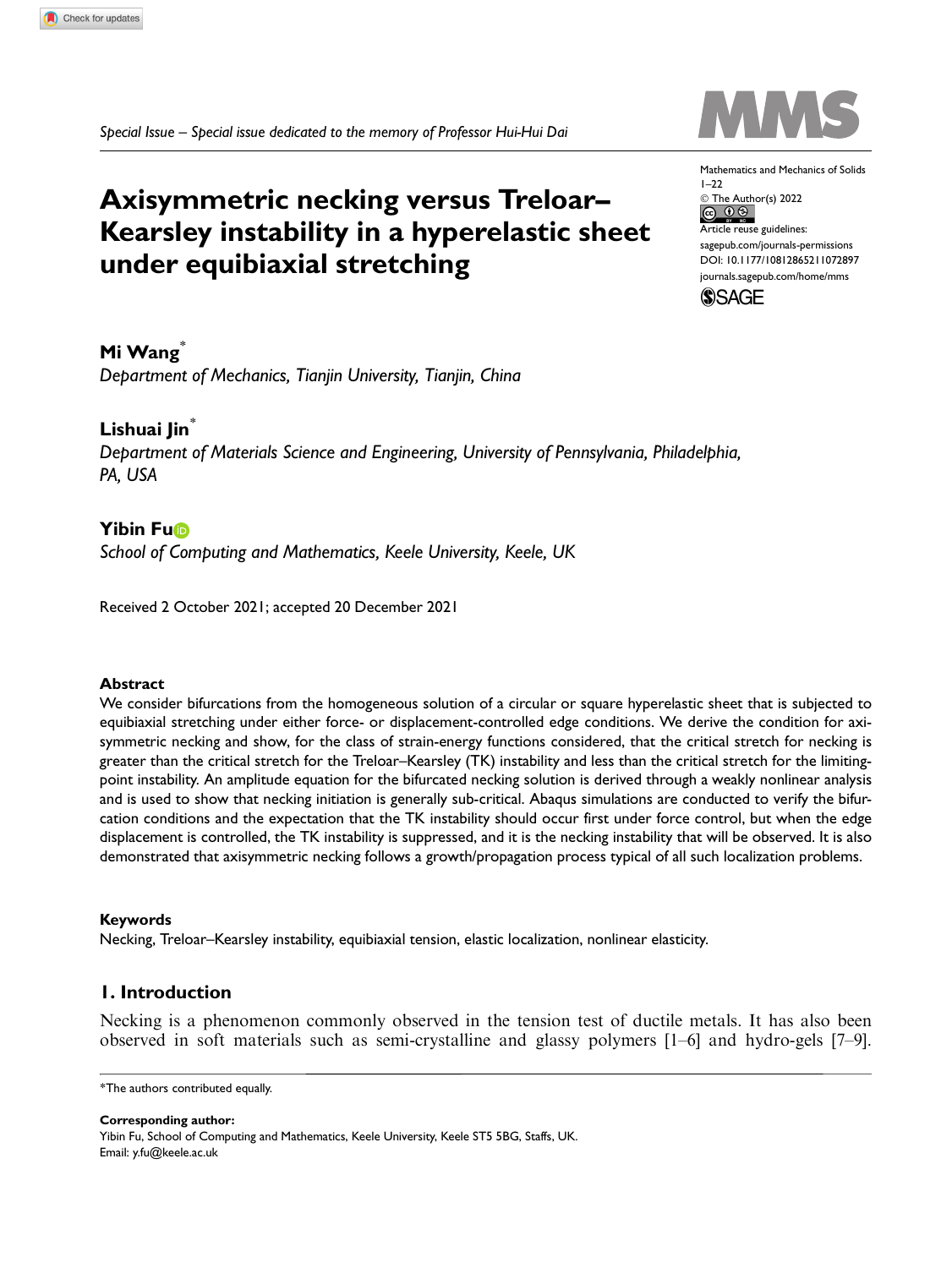Special Issue – Special issue dedicated to the memory of Professor Hui-Hui Dai

# Axisymmetric necking versus Treloar– Kearsley instability in a hyperelastic sheet under equibiaxial stretching

Mathematics and Mechanics of Solids  $1 - 22$ © The Author(s) 2022 Article reuse guidelines: [sagepub.com/journals-permissions](https://uk.sagepub.com/en-gb/journals-permissions) [DOI: 10.1177/10812865211072897](https://doi.dox.org/10.1177/10812865211072897) <journals.sagepub.com/home/mms>



Mi Wang<sup>\*</sup>

Department of Mechanics, Tianjin University, Tianjin, China

# Lishuai Jin<sup>\*</sup>

Department of Materials Science and Engineering, University of Pennsylvania, Philadelphia, PA, USA

# **Yibin Fuß**

School of Computing and Mathematics, Keele University, Keele, UK

Received 2 October 2021; accepted 20 December 2021

# Abstract

We consider bifurcations from the homogeneous solution of a circular or square hyperelastic sheet that is subjected to equibiaxial stretching under either force- or displacement-controlled edge conditions. We derive the condition for axisymmetric necking and show, for the class of strain-energy functions considered, that the critical stretch for necking is greater than the critical stretch for the Treloar–Kearsley (TK) instability and less than the critical stretch for the limitingpoint instability. An amplitude equation for the bifurcated necking solution is derived through a weakly nonlinear analysis and is used to show that necking initiation is generally sub-critical. Abaqus simulations are conducted to verify the bifurcation conditions and the expectation that the TK instability should occur first under force control, but when the edge displacement is controlled, the TK instability is suppressed, and it is the necking instability that will be observed. It is also demonstrated that axisymmetric necking follows a growth/propagation process typical of all such localization problems.

# Keywords

Necking, Treloar–Kearsley instability, equibiaxial tension, elastic localization, nonlinear elasticity.

# 1. Introduction

Necking is a phenomenon commonly observed in the tension test of ductile metals. It has also been observed in soft materials such as semi-crystalline and glassy polymers [1–6] and hydro-gels [7–9].

Corresponding author:

Yibin Fu, School of Computing and Mathematics, Keele University, Keele ST5 5BG, Staffs, UK. Email: y.fu@keele.ac.uk

<sup>\*</sup>The authors contributed equally.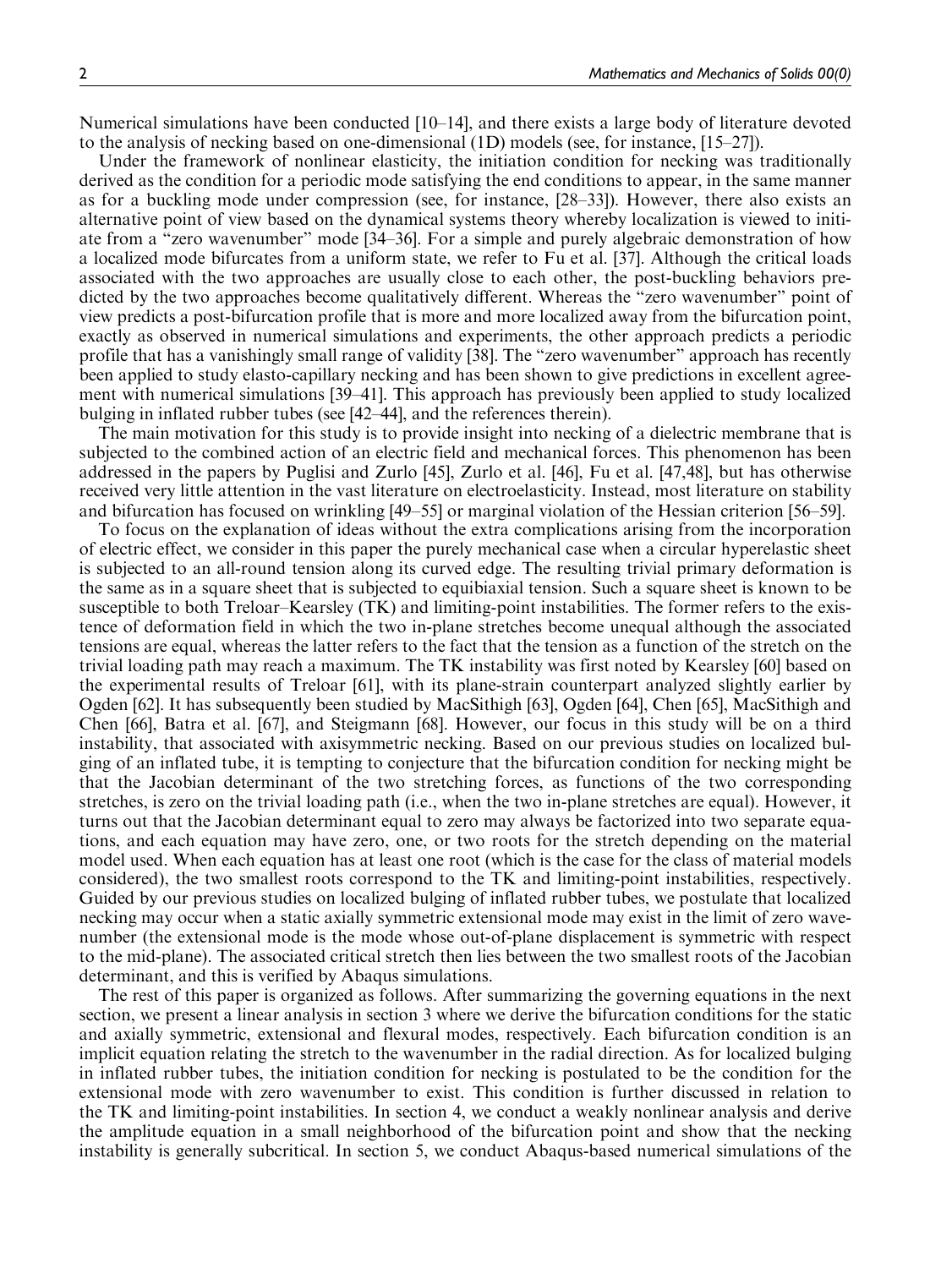Numerical simulations have been conducted [10–14], and there exists a large body of literature devoted to the analysis of necking based on one-dimensional (1D) models (see, for instance, [15–27]).

Under the framework of nonlinear elasticity, the initiation condition for necking was traditionally derived as the condition for a periodic mode satisfying the end conditions to appear, in the same manner as for a buckling mode under compression (see, for instance, [28–33]). However, there also exists an alternative point of view based on the dynamical systems theory whereby localization is viewed to initiate from a ''zero wavenumber'' mode [34–36]. For a simple and purely algebraic demonstration of how a localized mode bifurcates from a uniform state, we refer to Fu et al. [37]. Although the critical loads associated with the two approaches are usually close to each other, the post-buckling behaviors predicted by the two approaches become qualitatively different. Whereas the "zero wavenumber" point of view predicts a post-bifurcation profile that is more and more localized away from the bifurcation point, exactly as observed in numerical simulations and experiments, the other approach predicts a periodic profile that has a vanishingly small range of validity [38]. The ''zero wavenumber'' approach has recently been applied to study elasto-capillary necking and has been shown to give predictions in excellent agreement with numerical simulations [39–41]. This approach has previously been applied to study localized bulging in inflated rubber tubes (see [42–44], and the references therein).

The main motivation for this study is to provide insight into necking of a dielectric membrane that is subjected to the combined action of an electric field and mechanical forces. This phenomenon has been addressed in the papers by Puglisi and Zurlo [45], Zurlo et al. [46], Fu et al. [47,48], but has otherwise received very little attention in the vast literature on electroelasticity. Instead, most literature on stability and bifurcation has focused on wrinkling [49–55] or marginal violation of the Hessian criterion [56–59].

To focus on the explanation of ideas without the extra complications arising from the incorporation of electric effect, we consider in this paper the purely mechanical case when a circular hyperelastic sheet is subjected to an all-round tension along its curved edge. The resulting trivial primary deformation is the same as in a square sheet that is subjected to equibiaxial tension. Such a square sheet is known to be susceptible to both Treloar–Kearsley (TK) and limiting-point instabilities. The former refers to the existence of deformation field in which the two in-plane stretches become unequal although the associated tensions are equal, whereas the latter refers to the fact that the tension as a function of the stretch on the trivial loading path may reach a maximum. The TK instability was first noted by Kearsley [60] based on the experimental results of Treloar [61], with its plane-strain counterpart analyzed slightly earlier by Ogden [62]. It has subsequently been studied by MacSithigh [63], Ogden [64], Chen [65], MacSithigh and Chen [66], Batra et al. [67], and Steigmann [68]. However, our focus in this study will be on a third instability, that associated with axisymmetric necking. Based on our previous studies on localized bulging of an inflated tube, it is tempting to conjecture that the bifurcation condition for necking might be that the Jacobian determinant of the two stretching forces, as functions of the two corresponding stretches, is zero on the trivial loading path (i.e., when the two in-plane stretches are equal). However, it turns out that the Jacobian determinant equal to zero may always be factorized into two separate equations, and each equation may have zero, one, or two roots for the stretch depending on the material model used. When each equation has at least one root (which is the case for the class of material models considered), the two smallest roots correspond to the TK and limiting-point instabilities, respectively. Guided by our previous studies on localized bulging of inflated rubber tubes, we postulate that localized necking may occur when a static axially symmetric extensional mode may exist in the limit of zero wavenumber (the extensional mode is the mode whose out-of-plane displacement is symmetric with respect to the mid-plane). The associated critical stretch then lies between the two smallest roots of the Jacobian determinant, and this is verified by Abaqus simulations.

The rest of this paper is organized as follows. After summarizing the governing equations in the next section, we present a linear analysis in section 3 where we derive the bifurcation conditions for the static and axially symmetric, extensional and flexural modes, respectively. Each bifurcation condition is an implicit equation relating the stretch to the wavenumber in the radial direction. As for localized bulging in inflated rubber tubes, the initiation condition for necking is postulated to be the condition for the extensional mode with zero wavenumber to exist. This condition is further discussed in relation to the TK and limiting-point instabilities. In section 4, we conduct a weakly nonlinear analysis and derive the amplitude equation in a small neighborhood of the bifurcation point and show that the necking instability is generally subcritical. In section 5, we conduct Abaqus-based numerical simulations of the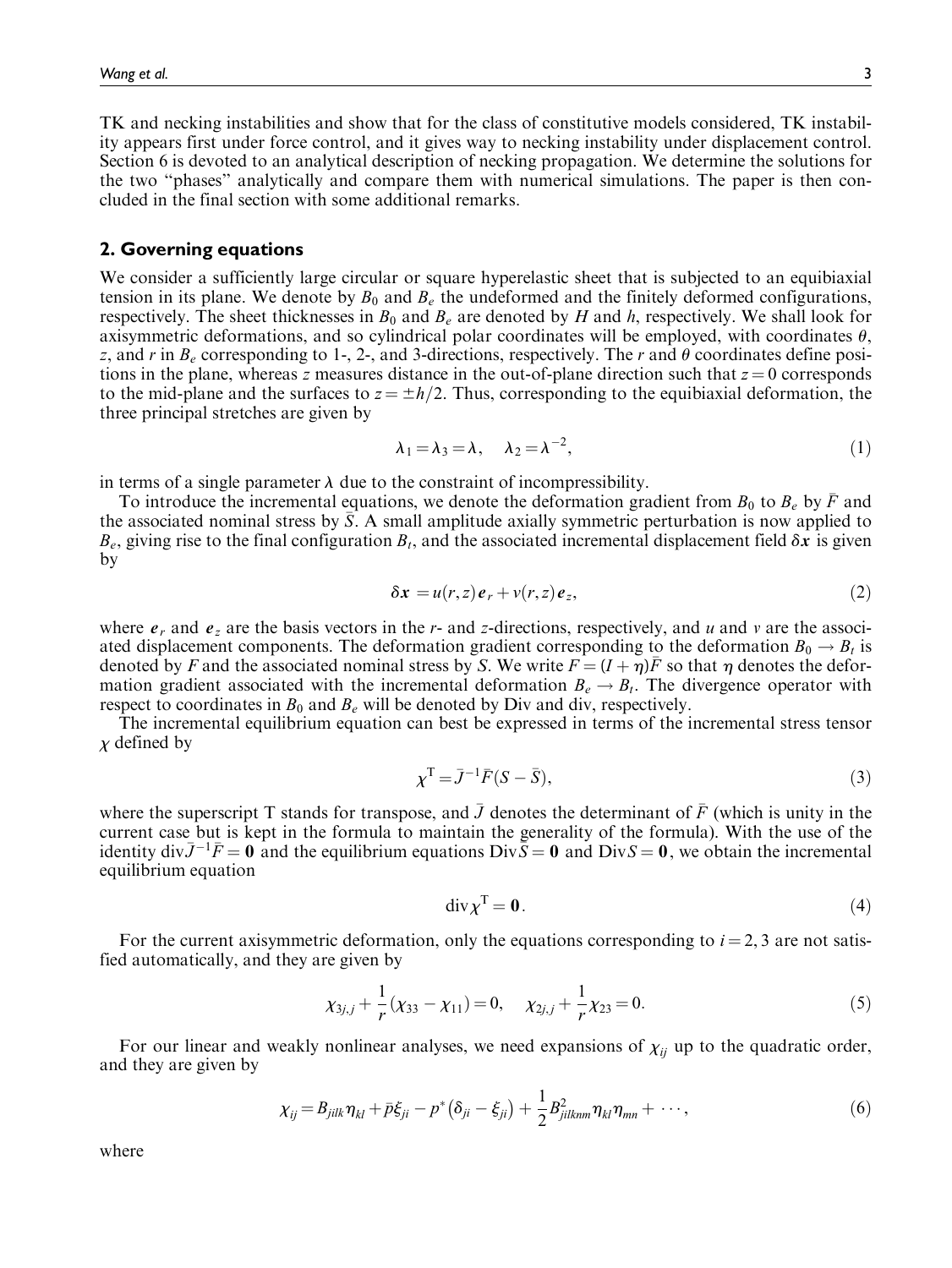TK and necking instabilities and show that for the class of constitutive models considered, TK instability appears first under force control, and it gives way to necking instability under displacement control. Section 6 is devoted to an analytical description of necking propagation. We determine the solutions for the two ''phases'' analytically and compare them with numerical simulations. The paper is then concluded in the final section with some additional remarks.

## 2. Governing equations

We consider a sufficiently large circular or square hyperelastic sheet that is subjected to an equibiaxial tension in its plane. We denote by  $B_0$  and  $B_e$  the undeformed and the finitely deformed configurations, respectively. The sheet thicknesses in  $B_0$  and  $B_e$  are denoted by H and h, respectively. We shall look for axisymmetric deformations, and so cylindrical polar coordinates will be employed, with coordinates  $\theta$ , z, and r in  $B_e$  corresponding to 1-, 2-, and 3-directions, respectively. The r and  $\theta$  coordinates define positions in the plane, whereas z measures distance in the out-of-plane direction such that  $z = 0$  corresponds to the mid-plane and the surfaces to  $z = \pm h/2$ . Thus, corresponding to the equibiaxial deformation, the three principal stretches are given by

$$
\lambda_1 = \lambda_3 = \lambda, \quad \lambda_2 = \lambda^{-2}, \tag{1}
$$

in terms of a single parameter  $\lambda$  due to the constraint of incompressibility.

To introduce the incremental equations, we denote the deformation gradient from  $B_0$  to  $B_e$  by  $\overline{F}$  and the associated nominal stress by  $\bar{S}$ . A small amplitude axially symmetric perturbation is now applied to  $B_e$ , giving rise to the final configuration  $B_t$ , and the associated incremental displacement field  $\delta x$  is given by

$$
\delta x = u(r, z) e_r + v(r, z) e_z, \tag{2}
$$

where  $e_r$  and  $e_z$  are the basis vectors in the r- and z-directions, respectively, and u and v are the associated displacement components. The deformation gradient corresponding to the deformation  $B_0 \rightarrow B_t$  is denoted by F and the associated nominal stress by S. We write  $F = (I + \eta)\bar{F}$  so that  $\eta$  denotes the deformation gradient associated with the incremental deformation  $B_e \rightarrow B_t$ . The divergence operator with respect to coordinates in  $B_0$  and  $B_e$  will be denoted by Div and div, respectively.

The incremental equilibrium equation can best be expressed in terms of the incremental stress tensor  $\chi$  defined by

$$
\chi^{\mathrm{T}} = \bar{J}^{-1}\bar{F}(S-\bar{S}),\tag{3}
$$

where the superscript T stands for transpose, and  $\bar{J}$  denotes the determinant of  $\bar{F}$  (which is unity in the current case but is kept in the formula to maintain the generality of the formula). With the use of the identity div $\bar{J}^{-1}\bar{F} = 0$  and the equilibrium equations  $Div \bar{S} = 0$  and  $Div S = 0$ , we obtain the incremental equilibrium equation

$$
\operatorname{div} \chi^{\mathrm{T}} = \mathbf{0}.\tag{4}
$$

For the current axisymmetric deformation, only the equations corresponding to  $i = 2, 3$  are not satisfied automatically, and they are given by

$$
\chi_{3j,j} + \frac{1}{r}(\chi_{33} - \chi_{11}) = 0, \quad \chi_{2j,j} + \frac{1}{r}\chi_{23} = 0.
$$
 (5)

For our linear and weakly nonlinear analyses, we need expansions of  $\chi_{ii}$  up to the quadratic order, and they are given by

$$
\chi_{ij} = B_{jilk}\eta_{kl} + \bar{p}\xi_{ji} - p^*\left(\delta_{ji} - \xi_{ji}\right) + \frac{1}{2}B_{jilkmm}^2\eta_{kl}\eta_{mn} + \cdots, \qquad (6)
$$

where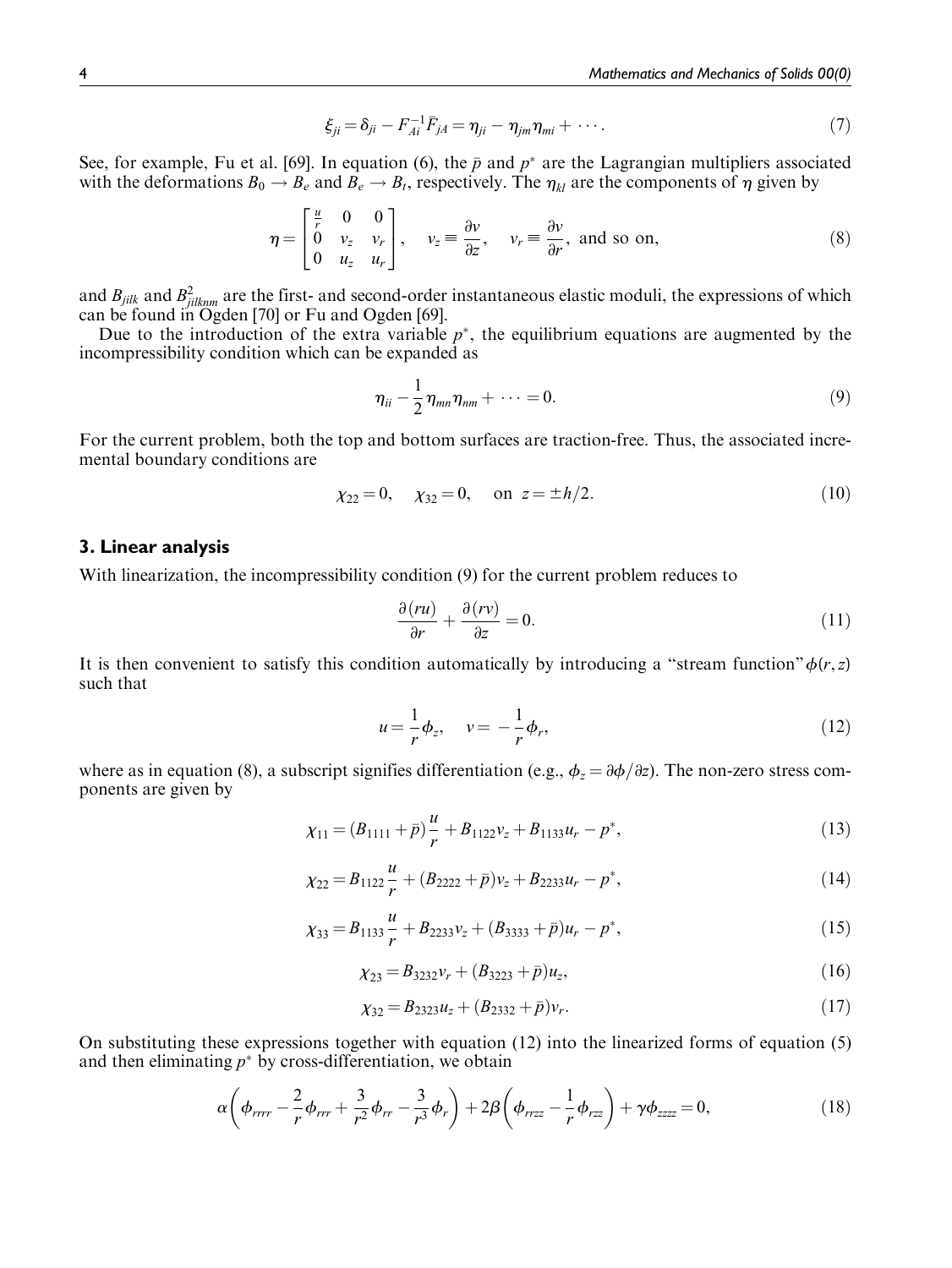$$
\xi_{ji} = \delta_{ji} - F_{Ai}^{-1} \bar{F}_{jA} = \eta_{ji} - \eta_{jm} \eta_{mi} + \cdots. \tag{7}
$$

See, for example, Fu et al. [69]. In equation (6), the  $\bar{p}$  and  $p^*$  are the Lagrangian multipliers associated with the deformations  $B_0 \to B_\epsilon$  and  $B_\epsilon \to B_t$ , respectively. The  $\eta_{kl}$  are the components of  $\eta$  given by

$$
\eta = \begin{bmatrix} \frac{u}{r} & 0 & 0 \\ 0 & v_z & v_r \\ 0 & u_z & u_r \end{bmatrix}, \quad v_z = \frac{\partial v}{\partial z}, \quad v_r = \frac{\partial v}{\partial r}, \text{ and so on,}
$$
 (8)

and  $B_{jilk}$  and  $B_{jilknm}^2$  are the first- and second-order instantaneous elastic moduli, the expressions of which can be found in Ogden [70] or Fu and Ogden [69].

Due to the introduction of the extra variable  $p^*$ , the equilibrium equations are augmented by the incompressibility condition which can be expanded as

$$
\eta_{ii} - \frac{1}{2} \eta_{mn} \eta_{nm} + \cdots = 0. \tag{9}
$$

For the current problem, both the top and bottom surfaces are traction-free. Thus, the associated incremental boundary conditions are

$$
\chi_{22} = 0, \quad \chi_{32} = 0, \quad \text{on } z = \pm h/2. \tag{10}
$$

# 3. Linear analysis

With linearization, the incompressibility condition (9) for the current problem reduces to

$$
\frac{\partial (ru)}{\partial r} + \frac{\partial (rv)}{\partial z} = 0.
$$
 (11)

It is then convenient to satisfy this condition automatically by introducing a "stream function" $\phi(r, z)$ such that

$$
u = -\frac{1}{r}\phi_z, \quad v = -\frac{1}{r}\phi_r,
$$
\n(12)

where as in equation (8), a subscript signifies differentiation (e.g.,  $\phi_z = \partial \phi / \partial z$ ). The non-zero stress components are given by

$$
\chi_{11} = (B_{1111} + \bar{p})\frac{u}{r} + B_{1122}v_z + B_{1133}u_r - p^*,
$$
\n(13)

$$
\chi_{22} = B_{1122} \frac{u}{r} + (B_{2222} + \bar{p})v_z + B_{2233}u_r - p^*,
$$
\n(14)

$$
\chi_{33} = B_{1133} \frac{u}{r} + B_{2233} v_z + (B_{3333} + \bar{p}) u_r - p^*,
$$
\n(15)

$$
\chi_{23} = B_{3232}v_r + (B_{3223} + \bar{p})u_z, \tag{16}
$$

$$
\chi_{32} = B_{2323}u_z + (B_{2332} + \bar{p})v_r. \tag{17}
$$

On substituting these expressions together with equation (12) into the linearized forms of equation (5) and then eliminating  $p^*$  by cross-differentiation, we obtain

$$
\alpha \left( \phi_{rrrr} - \frac{2}{r} \phi_{rrr} + \frac{3}{r^2} \phi_{rr} - \frac{3}{r^3} \phi_r \right) + 2\beta \left( \phi_{rrzz} - \frac{1}{r} \phi_{rzz} \right) + \gamma \phi_{zzzz} = 0, \qquad (18)
$$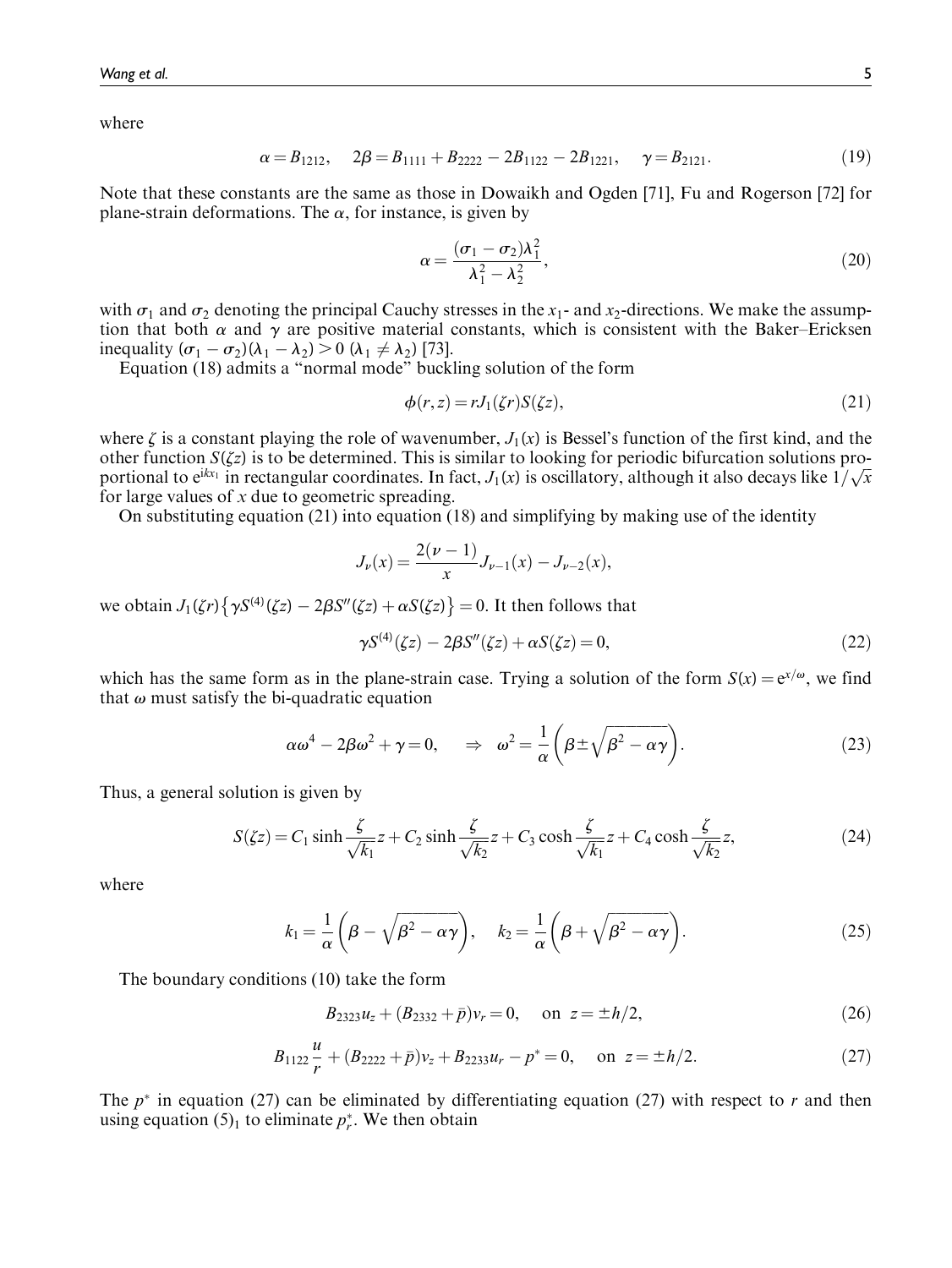where

$$
\alpha = B_{1212}, \quad 2\beta = B_{1111} + B_{2222} - 2B_{1122} - 2B_{1221}, \quad \gamma = B_{2121}.
$$
 (19)

Note that these constants are the same as those in Dowaikh and Ogden [71], Fu and Rogerson [72] for plane-strain deformations. The  $\alpha$ , for instance, is given by

$$
\alpha = \frac{(\sigma_1 - \sigma_2)\lambda_1^2}{\lambda_1^2 - \lambda_2^2},\tag{20}
$$

with  $\sigma_1$  and  $\sigma_2$  denoting the principal Cauchy stresses in the x<sub>1</sub>- and x<sub>2</sub>-directions. We make the assumption that both  $\alpha$  and  $\gamma$  are positive material constants, which is consistent with the Baker–Ericksen inequality  $(\sigma_1 - \sigma_2)(\lambda_1 - \lambda_2) > 0$   $(\lambda_1 \neq \lambda_2)$  [73].

Equation (18) admits a ''normal mode'' buckling solution of the form

$$
\phi(r,z) = rJ_1(\zeta r)S(\zeta z),\tag{21}
$$

where  $\zeta$  is a constant playing the role of wavenumber,  $J_1(x)$  is Bessel's function of the first kind, and the other function  $S(\zeta z)$  is to be determined. This is similar to looking for periodic bifurcation solutions proportional to  $e^{ikx_1}$  in rectangular coordinates. In fact,  $J_1(x)$  is oscillatory, although it also decays like  $1/\sqrt{x}$ for large values of  $x$  due to geometric spreading.

On substituting equation (21) into equation (18) and simplifying by making use of the identity

$$
J_{\nu}(x) = \frac{2(\nu - 1)}{x} J_{\nu - 1}(x) - J_{\nu - 2}(x),
$$

we obtain  $J_1(\zeta r) \left\{ \gamma S^{(4)}(\zeta z) - 2\beta S''(\zeta z) + \alpha S(\zeta z) \right\} = 0$ . It then follows that

$$
\gamma S^{(4)}(\zeta z) - 2\beta S''(\zeta z) + \alpha S(\zeta z) = 0,
$$
\n(22)

which has the same form as in the plane-strain case. Trying a solution of the form  $S(x) = e^{x/\omega}$ , we find that  $\omega$  must satisfy the bi-quadratic equation

$$
\alpha \omega^4 - 2\beta \omega^2 + \gamma = 0, \quad \Rightarrow \quad \omega^2 = \frac{1}{\alpha} \left( \beta \pm \sqrt{\beta^2 - \alpha \gamma} \right). \tag{23}
$$

Thus, a general solution is given by

$$
S(\zeta z) = C_1 \sinh \frac{\zeta}{\sqrt{k_1}} z + C_2 \sinh \frac{\zeta}{\sqrt{k_2}} z + C_3 \cosh \frac{\zeta}{\sqrt{k_1}} z + C_4 \cosh \frac{\zeta}{\sqrt{k_2}} z,
$$
 (24)

where

$$
k_1 = \frac{1}{\alpha} \left( \beta - \sqrt{\beta^2 - \alpha \gamma} \right), \quad k_2 = \frac{1}{\alpha} \left( \beta + \sqrt{\beta^2 - \alpha \gamma} \right). \tag{25}
$$

The boundary conditions (10) take the form

$$
B_{2323}u_z + (B_{2332} + \bar{p})v_r = 0, \quad \text{on } z = \pm h/2,
$$
\n(26)

$$
B_{1122}\frac{u}{r} + (B_{2222} + \bar{p})v_z + B_{2233}u_r - p^* = 0, \quad \text{on } z = \pm h/2.
$$
 (27)

The  $p^*$  in equation (27) can be eliminated by differentiating equation (27) with respect to r and then using equation  $(5)_1$  to eliminate  $p_r^*$ . We then obtain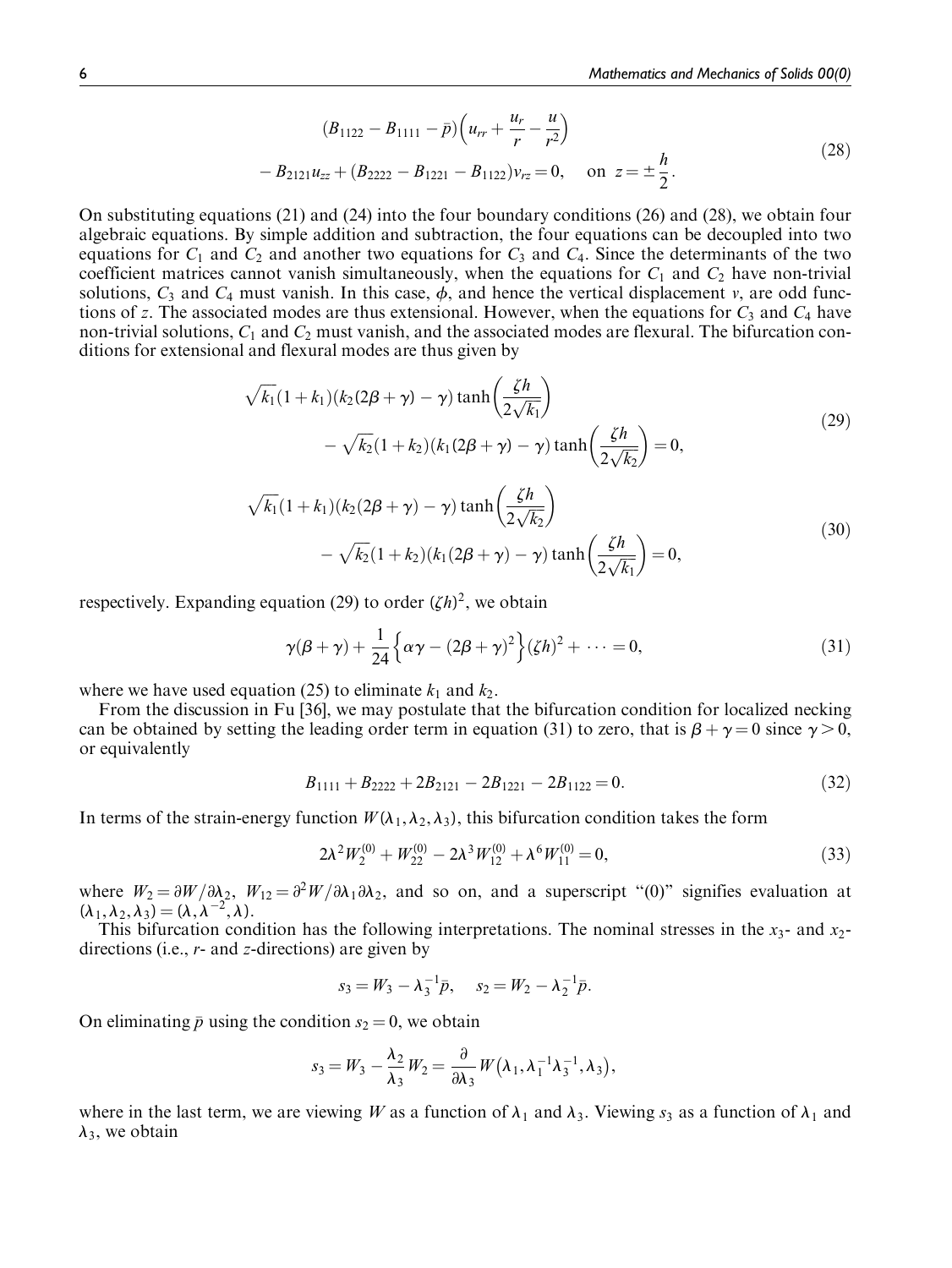$$
(B_{1122} - B_{1111} - \bar{p})\left(u_{rr} + \frac{u_r}{r} - \frac{u}{r^2}\right)
$$
  
-  $B_{2121}u_{zz} + (B_{2222} - B_{1221} - B_{1122})v_{rz} = 0$ , on  $z = \pm \frac{h}{2}$ . (28)

On substituting equations (21) and (24) into the four boundary conditions (26) and (28), we obtain four algebraic equations. By simple addition and subtraction, the four equations can be decoupled into two equations for  $C_1$  and  $C_2$  and another two equations for  $C_3$  and  $C_4$ . Since the determinants of the two coefficient matrices cannot vanish simultaneously, when the equations for  $C_1$  and  $C_2$  have non-trivial solutions,  $C_3$  and  $C_4$  must vanish. In this case,  $\phi$ , and hence the vertical displacement v, are odd functions of z. The associated modes are thus extensional. However, when the equations for  $C_3$  and  $C_4$  have non-trivial solutions,  $C_1$  and  $C_2$  must vanish, and the associated modes are flexural. The bifurcation conditions for extensional and flexural modes are thus given by

$$
\sqrt{k_1}(1+k_1)(k_2(2\beta+\gamma)-\gamma)\tanh\left(\frac{\zeta h}{2\sqrt{k_1}}\right) -\sqrt{k_2}(1+k_2)(k_1(2\beta+\gamma)-\gamma)\tanh\left(\frac{\zeta h}{2\sqrt{k_2}}\right)=0,
$$
\n(29)

$$
\sqrt{k_1}(1+k_1)(k_2(2\beta+\gamma)-\gamma)\tanh\left(\frac{\zeta h}{2\sqrt{k_2}}\right) -\sqrt{k_2}(1+k_2)(k_1(2\beta+\gamma)-\gamma)\tanh\left(\frac{\zeta h}{2\sqrt{k_1}}\right)=0,
$$
\n(30)

respectively. Expanding equation (29) to order  $(\zeta h)^2$ , we obtain

$$
\gamma(\beta + \gamma) + \frac{1}{24} \left\{ \alpha \gamma - (2\beta + \gamma)^2 \right\} (\zeta h)^2 + \dots = 0, \tag{31}
$$

where we have used equation (25) to eliminate  $k_1$  and  $k_2$ .

From the discussion in Fu [36], we may postulate that the bifurcation condition for localized necking can be obtained by setting the leading order term in equation (31) to zero, that is  $\beta + \gamma = 0$  since  $\gamma > 0$ , or equivalently

$$
B_{1111} + B_{2222} + 2B_{2121} - 2B_{1221} - 2B_{1122} = 0. \tag{32}
$$

In terms of the strain-energy function  $W(\lambda_1, \lambda_2, \lambda_3)$ , this bifurcation condition takes the form

$$
2\lambda^2 W_2^{(0)} + W_{22}^{(0)} - 2\lambda^3 W_{12}^{(0)} + \lambda^6 W_{11}^{(0)} = 0,
$$
\n(33)

where  $W_2 = \partial W/\partial \lambda_2$ ,  $W_{12} = \partial^2 W/\partial \lambda_1 \partial \lambda_2$ , and so on, and a superscript "(0)" signifies evaluation at  $(\lambda_1, \lambda_2, \lambda_3) = (\lambda, \lambda^{-2}, \lambda).$ 

This bifurcation condition has the following interpretations. The nominal stresses in the  $x_3$ - and  $x_2$ directions (i.e., r- and z-directions) are given by

$$
s_3 = W_3 - \lambda_3^{-1} \bar{p}, \quad s_2 = W_2 - \lambda_2^{-1} \bar{p}.
$$

On eliminating  $\bar{p}$  using the condition  $s_2 = 0$ , we obtain

$$
s_3 = W_3 - \frac{\lambda_2}{\lambda_3} W_2 = \frac{\partial}{\partial \lambda_3} W(\lambda_1, \lambda_1^{-1} \lambda_3^{-1}, \lambda_3),
$$

where in the last term, we are viewing W as a function of  $\lambda_1$  and  $\lambda_3$ . Viewing  $s_3$  as a function of  $\lambda_1$  and  $\lambda_3$ , we obtain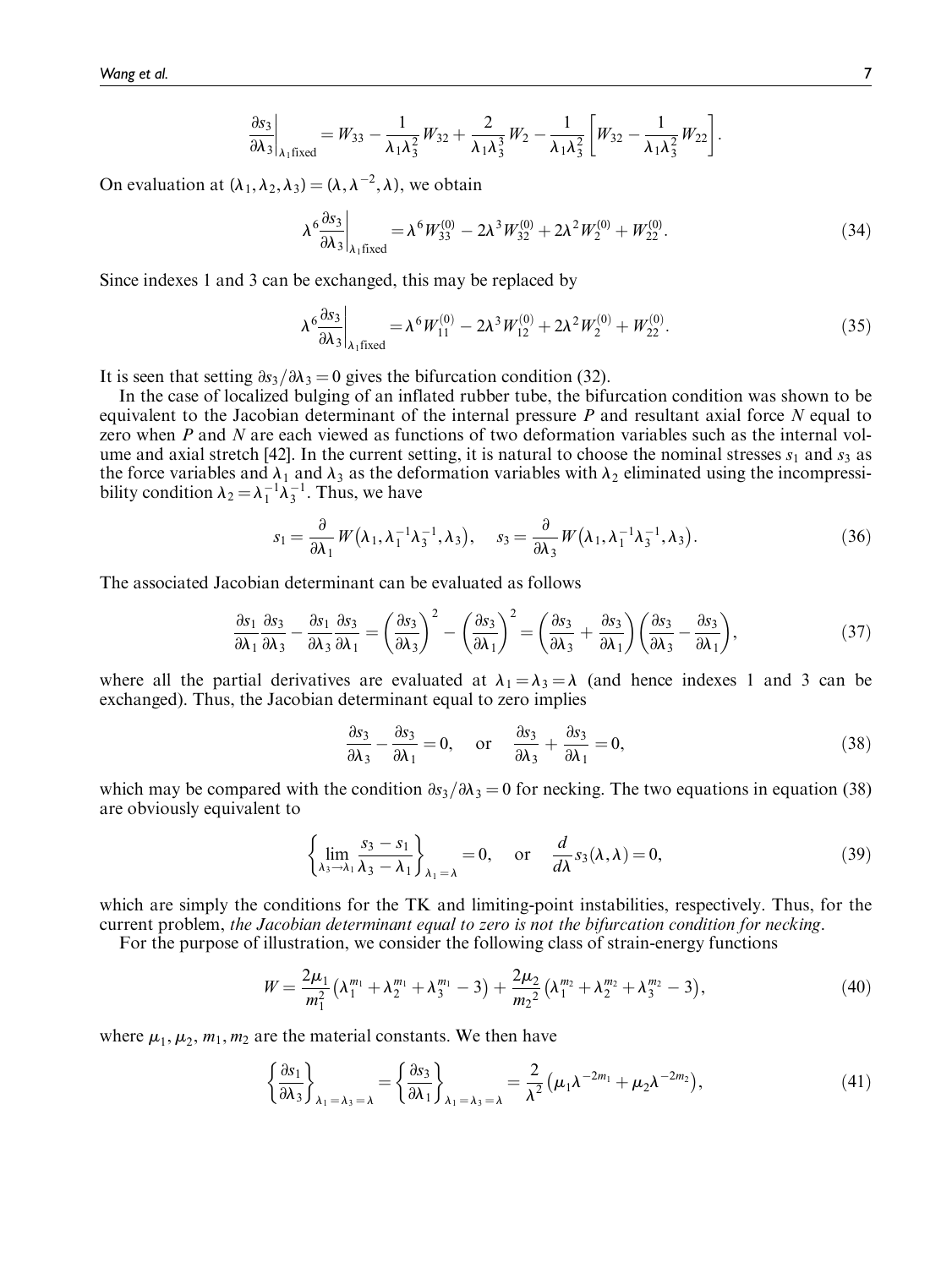$$
\frac{\partial s_3}{\partial \lambda_3}\bigg|_{\lambda_1\text{fixed}} = W_{33} - \frac{1}{\lambda_1\lambda_3^2}W_{32} + \frac{2}{\lambda_1\lambda_3^3}W_2 - \frac{1}{\lambda_1\lambda_3^2} \bigg[W_{32} - \frac{1}{\lambda_1\lambda_3^2}W_{22}\bigg].
$$

On evaluation at  $(\lambda_1, \lambda_2, \lambda_3) = (\lambda, \lambda^{-2}, \lambda)$ , we obtain

$$
\lambda^6 \frac{\partial s_3}{\partial \lambda_3}\bigg|_{\lambda_1 \text{fixed}} = \lambda^6 W_{33}^{(0)} - 2\lambda^3 W_{32}^{(0)} + 2\lambda^2 W_2^{(0)} + W_{22}^{(0)}.
$$
 (34)

Since indexes 1 and 3 can be exchanged, this may be replaced by

$$
\lambda^6 \frac{\partial s_3}{\partial \lambda_3}\bigg|_{\lambda_1 \text{fixed}} = \lambda^6 W_{11}^{(0)} - 2\lambda^3 W_{12}^{(0)} + 2\lambda^2 W_2^{(0)} + W_{22}^{(0)}.
$$
 (35)

It is seen that setting  $\partial s_3/\partial \lambda_3 = 0$  gives the bifurcation condition (32).

In the case of localized bulging of an inflated rubber tube, the bifurcation condition was shown to be equivalent to the Jacobian determinant of the internal pressure  $P$  and resultant axial force  $N$  equal to zero when P and N are each viewed as functions of two deformation variables such as the internal volume and axial stretch [42]. In the current setting, it is natural to choose the nominal stresses  $s_1$  and  $s_3$  as the force variables and  $\lambda_1$  and  $\lambda_3$  as the deformation variables with  $\lambda_2$  eliminated using the incompressibility condition  $\lambda_2 = \lambda_1^{-1} \lambda_3^{-1}$ . Thus, we have

$$
s_1 = \frac{\partial}{\partial \lambda_1} W(\lambda_1, \lambda_1^{-1} \lambda_3^{-1}, \lambda_3), \quad s_3 = \frac{\partial}{\partial \lambda_3} W(\lambda_1, \lambda_1^{-1} \lambda_3^{-1}, \lambda_3).
$$
 (36)

The associated Jacobian determinant can be evaluated as follows

$$
\frac{\partial s_1}{\partial \lambda_1} \frac{\partial s_3}{\partial \lambda_3} - \frac{\partial s_1}{\partial \lambda_3} \frac{\partial s_3}{\partial \lambda_1} = \left(\frac{\partial s_3}{\partial \lambda_3}\right)^2 - \left(\frac{\partial s_3}{\partial \lambda_1}\right)^2 = \left(\frac{\partial s_3}{\partial \lambda_3} + \frac{\partial s_3}{\partial \lambda_1}\right) \left(\frac{\partial s_3}{\partial \lambda_3} - \frac{\partial s_3}{\partial \lambda_1}\right),\tag{37}
$$

where all the partial derivatives are evaluated at  $\lambda_1 = \lambda_3 = \lambda$  (and hence indexes 1 and 3 can be exchanged). Thus, the Jacobian determinant equal to zero implies

$$
\frac{\partial s_3}{\partial \lambda_3} - \frac{\partial s_3}{\partial \lambda_1} = 0, \quad \text{or} \quad \frac{\partial s_3}{\partial \lambda_3} + \frac{\partial s_3}{\partial \lambda_1} = 0,
$$
\n(38)

which may be compared with the condition  $\frac{\partial s}{\partial\lambda} = 0$  for necking. The two equations in equation (38) are obviously equivalent to

$$
\left\{\lim_{\lambda_3 \to \lambda_1} \frac{s_3 - s_1}{\lambda_3 - \lambda_1}\right\}_{\lambda_1 = \lambda} = 0, \quad \text{or} \quad \frac{d}{d\lambda} s_3(\lambda, \lambda) = 0,
$$
\n(39)

which are simply the conditions for the TK and limiting-point instabilities, respectively. Thus, for the current problem, the Jacobian determinant equal to zero is not the bifurcation condition for necking.

For the purpose of illustration, we consider the following class of strain-energy functions

$$
W = \frac{2\mu_1}{m_1^2} \left( \lambda_1^{m_1} + \lambda_2^{m_1} + \lambda_3^{m_1} - 3 \right) + \frac{2\mu_2}{m_2^2} \left( \lambda_1^{m_2} + \lambda_2^{m_2} + \lambda_3^{m_2} - 3 \right),\tag{40}
$$

where  $\mu_1, \mu_2, m_1, m_2$  are the material constants. We then have

$$
\left\{\frac{\partial s_1}{\partial \lambda_3}\right\}_{\lambda_1=\lambda_3=\lambda} = \left\{\frac{\partial s_3}{\partial \lambda_1}\right\}_{\lambda_1=\lambda_3=\lambda} = \frac{2}{\lambda^2} \left(\mu_1 \lambda^{-2m_1} + \mu_2 \lambda^{-2m_2}\right),\tag{41}
$$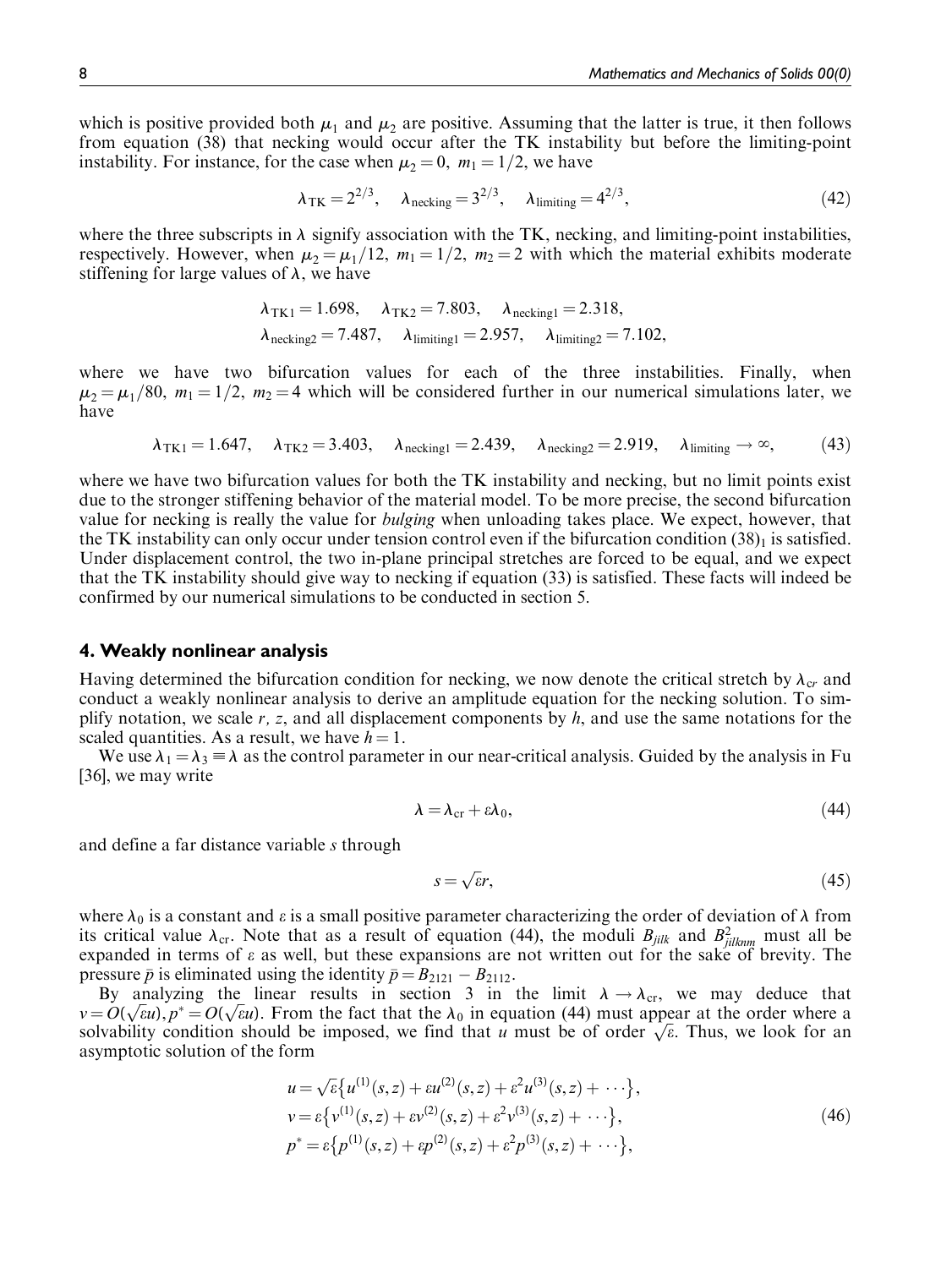which is positive provided both  $\mu_1$  and  $\mu_2$  are positive. Assuming that the latter is true, it then follows from equation (38) that necking would occur after the TK instability but before the limiting-point instability. For instance, for the case when  $\mu_2 = 0$ ,  $m_1 = 1/2$ , we have

$$
\lambda_{\text{TK}} = 2^{2/3}, \quad \lambda_{\text{necking}} = 3^{2/3}, \quad \lambda_{\text{limiting}} = 4^{2/3}, \tag{42}
$$

where the three subscripts in  $\lambda$  signify association with the TK, necking, and limiting-point instabilities, respectively. However, when  $\mu_2 = \mu_1/12$ ,  $m_1 = 1/2$ ,  $m_2 = 2$  with which the material exhibits moderate stiffening for large values of  $\lambda$ , we have

$$
\lambda_{TK1} = 1.698, \quad \lambda_{TK2} = 7.803, \quad \lambda_{necking1} = 2.318,
$$
  

$$
\lambda_{necking2} = 7.487, \quad \lambda_{limiting1} = 2.957, \quad \lambda_{limiting2} = 7.102,
$$

where we have two bifurcation values for each of the three instabilities. Finally, when  $\mu_2 = \mu_1/80$ ,  $m_1 = 1/2$ ,  $m_2 = 4$  which will be considered further in our numerical simulations later, we have

$$
\lambda_{TK1} = 1.647, \quad \lambda_{TK2} = 3.403, \quad \lambda_{necking1} = 2.439, \quad \lambda_{necking2} = 2.919, \quad \lambda_{limiting} \to \infty,
$$
 (43)

where we have two bifurcation values for both the TK instability and necking, but no limit points exist due to the stronger stiffening behavior of the material model. To be more precise, the second bifurcation value for necking is really the value for *bulging* when unloading takes place. We expect, however, that the TK instability can only occur under tension control even if the bifurcation condition  $(38)_1$  is satisfied. Under displacement control, the two in-plane principal stretches are forced to be equal, and we expect that the TK instability should give way to necking if equation (33) is satisfied. These facts will indeed be confirmed by our numerical simulations to be conducted in section 5.

#### 4. Weakly nonlinear analysis

Having determined the bifurcation condition for necking, we now denote the critical stretch by  $\lambda_{cr}$  and conduct a weakly nonlinear analysis to derive an amplitude equation for the necking solution. To simplify notation, we scale  $r$ ,  $z$ , and all displacement components by  $h$ , and use the same notations for the scaled quantities. As a result, we have  $h = 1$ .

We use  $\lambda_1 = \lambda_3 \equiv \lambda$  as the control parameter in our near-critical analysis. Guided by the analysis in Fu [36], we may write

$$
\lambda = \lambda_{\rm cr} + \varepsilon \lambda_0,\tag{44}
$$

and define a far distance variable s through

$$
s = \sqrt{\varepsilon}r,\tag{45}
$$

where  $\lambda_0$  is a constant and  $\varepsilon$  is a small positive parameter characterizing the order of deviation of  $\lambda$  from its critical value  $\lambda_{cr}$ . Note that as a result of equation (44), the moduli  $B_{jilk}$  and  $B_{jilknm}^2$  must all be expanded in terms of e as well, but these expansions are not written out for the sake of brevity. The pressure  $\bar{p}$  is eliminated using the identity  $\bar{p} = B_{2121} - B_{2112}$ .

By analyzing the linear results in section 3 in the limit  $\lambda \rightarrow \lambda_{cr}$ , we may deduce that By analyzing the linear results in section 5 in the linit  $\lambda \to \lambda_{cr}$ , we may deduce that  $v = O(\sqrt{\epsilon}u)$ ,  $p^* = O(\sqrt{\epsilon}u)$ . From the fact that the  $\lambda_0$  in equation (44) must appear at the order where a  $v = O(\sqrt{\epsilon}u)$ ,  $p = O(\sqrt{\epsilon}u)$ . From the fact that the  $\lambda_0$  in equation (44) must appear at the order where a solvability condition should be imposed, we find that u must be of order  $\sqrt{\epsilon}$ . Thus, we look for an asymptotic solution of the form

$$
u = \sqrt{\varepsilon} \{ u^{(1)}(s, z) + \varepsilon u^{(2)}(s, z) + \varepsilon^2 u^{(3)}(s, z) + \cdots \},
$$
  
\n
$$
v = \varepsilon \{ v^{(1)}(s, z) + \varepsilon v^{(2)}(s, z) + \varepsilon^2 v^{(3)}(s, z) + \cdots \},
$$
  
\n
$$
p^* = \varepsilon \{ p^{(1)}(s, z) + \varepsilon p^{(2)}(s, z) + \varepsilon^2 p^{(3)}(s, z) + \cdots \},
$$
\n(46)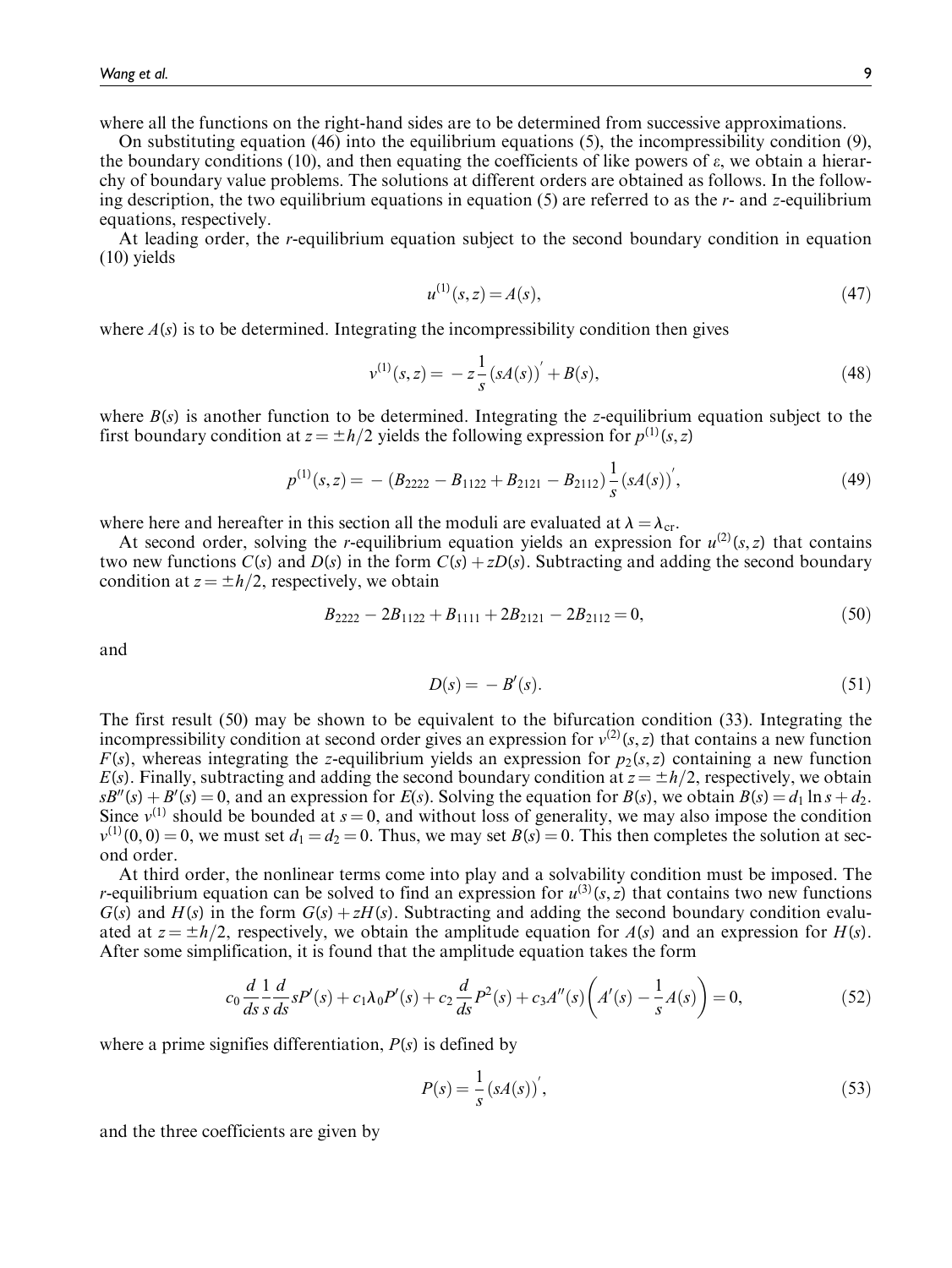where all the functions on the right-hand sides are to be determined from successive approximations.

On substituting equation (46) into the equilibrium equations (5), the incompressibility condition (9), the boundary conditions (10), and then equating the coefficients of like powers of  $\varepsilon$ , we obtain a hierarchy of boundary value problems. The solutions at different orders are obtained as follows. In the following description, the two equilibrium equations in equation  $(5)$  are referred to as the r- and z-equilibrium equations, respectively.

At leading order, the r-equilibrium equation subject to the second boundary condition in equation (10) yields

$$
u^{(1)}(s, z) = A(s),\tag{47}
$$

where  $A(s)$  is to be determined. Integrating the incompressibility condition then gives

$$
v^{(1)}(s,z) = -z\frac{1}{s}(sA(s))' + B(s),
$$
\n(48)

where  $B(s)$  is another function to be determined. Integrating the z-equilibrium equation subject to the first boundary condition at  $z = \pm h/2$  yields the following expression for  $p^{(1)}(s, z)$ 

$$
p^{(1)}(s,z) = - (B_{2222} - B_{1122} + B_{2121} - B_{2112}) \frac{1}{s} (sA(s))',
$$
\n(49)

where here and hereafter in this section all the moduli are evaluated at  $\lambda = \lambda_{cr}$ .

At second order, solving the r-equilibrium equation yields an expression for  $u^{(2)}(s, z)$  that contains two new functions  $C(s)$  and  $D(s)$  in the form  $C(s) + zD(s)$ . Subtracting and adding the second boundary condition at  $z = \pm h/2$ , respectively, we obtain

$$
B_{2222} - 2B_{1122} + B_{1111} + 2B_{2121} - 2B_{2112} = 0,\t(50)
$$

and

$$
D(s) = -B'(s). \tag{51}
$$

The first result (50) may be shown to be equivalent to the bifurcation condition (33). Integrating the incompressibility condition at second order gives an expression for  $v^{(2)}(s, z)$  that contains a new function  $F(s)$ , whereas integrating the z-equilibrium yields an expression for  $p_2(s, z)$  containing a new function  $E(s)$ . Finally, subtracting and adding the second boundary condition at  $z = \pm h/2$ , respectively, we obtain  $sB''(s) + B'(s) = 0$ , and an expression for  $E(s)$ . Solving the equation for  $B(s)$ , we obtain  $B(s) = d_1 \ln s + d_2$ . Since  $v^{(1)}$  should be bounded at  $s = 0$ , and without loss of generality, we may also impose the condition  $v^{(1)}(0,0) = 0$ , we must set  $d_1 = d_2 = 0$ . Thus, we may set  $B(s) = 0$ . This then completes the solution at second order.

At third order, the nonlinear terms come into play and a solvability condition must be imposed. The *r*-equilibrium equation can be solved to find an expression for  $u^{(3)}(s, z)$  that contains two new functions  $G(s)$  and  $H(s)$  in the form  $G(s) + zH(s)$ . Subtracting and adding the second boundary condition evaluated at  $z = \pm h/2$ , respectively, we obtain the amplitude equation for  $A(s)$  and an expression for  $H(s)$ . After some simplification, it is found that the amplitude equation takes the form

$$
c_0 \frac{d}{ds} \frac{1}{s} \frac{d}{ds} sP'(s) + c_1 \lambda_0 P'(s) + c_2 \frac{d}{ds} P^2(s) + c_3 A''(s) \left( A'(s) - \frac{1}{s} A(s) \right) = 0,
$$
\n(52)

where a prime signifies differentiation,  $P(s)$  is defined by

$$
P(s) = \frac{1}{s} (sA(s))',
$$
\n(53)

and the three coefficients are given by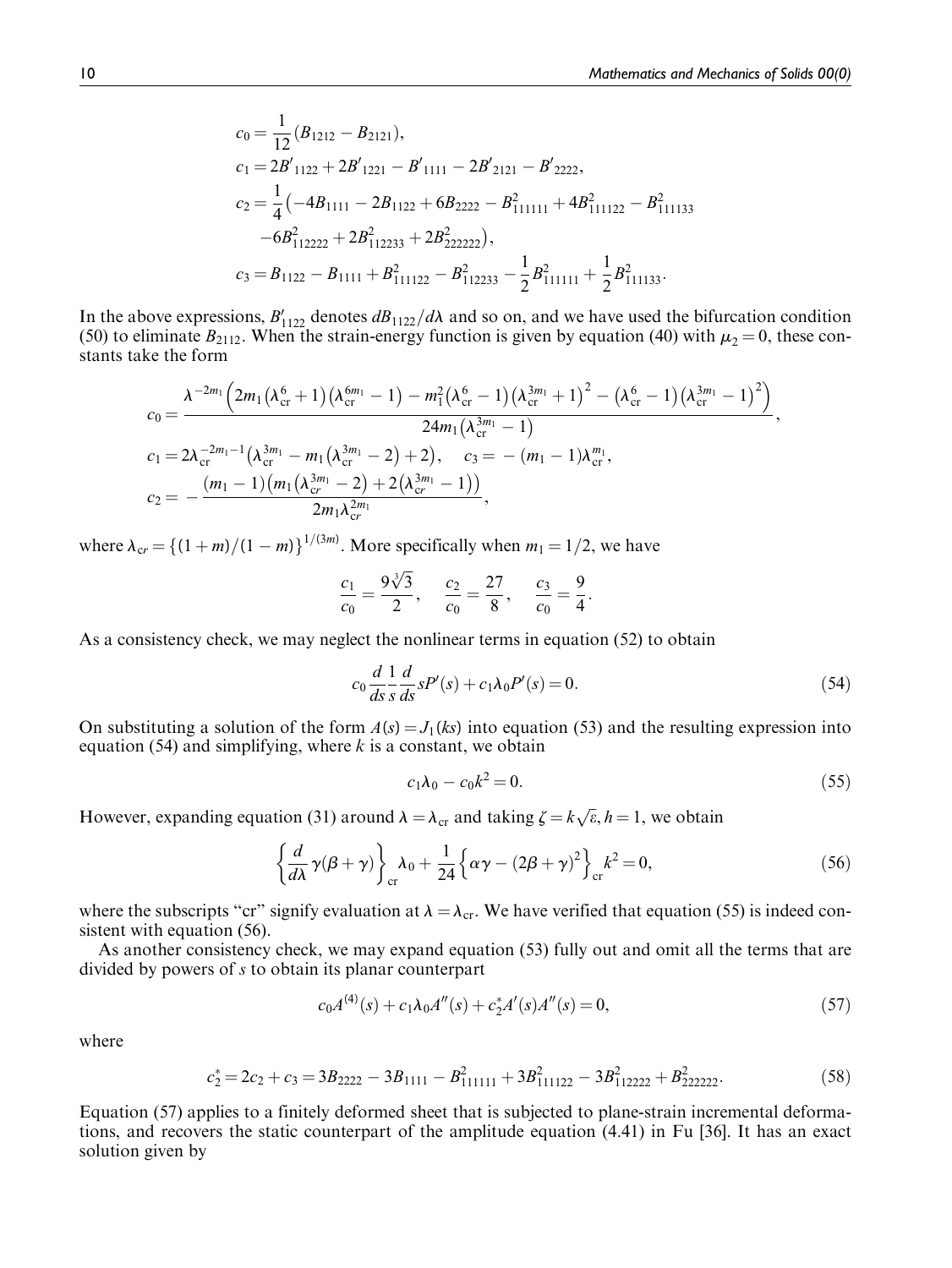$$
c_0 = \frac{1}{12} (B_{1212} - B_{2121}),
$$
  
\n
$$
c_1 = 2B'_{1122} + 2B'_{1221} - B'_{1111} - 2B'_{2121} - B'_{2222},
$$
  
\n
$$
c_2 = \frac{1}{4} (-4B_{1111} - 2B_{1122} + 6B_{2222} - B_{111111}^2 + 4B_{111122}^2 - B_{111133}^2 -6B_{112222}^2 + 2B_{112233}^2 + 2B_{222222}^2),
$$
  
\n
$$
c_3 = B_{1122} - B_{1111} + B_{111122}^2 - B_{112233}^2 - \frac{1}{2} B_{111111}^2 + \frac{1}{2} B_{111133}^2.
$$

In the above expressions,  $B'_{1122}$  denotes  $dB_{1122}/d\lambda$  and so on, and we have used the bifurcation condition (50) to eliminate  $B_{2112}$ . When the strain-energy function is given by equation (40) with  $\mu_2 = 0$ , these constants take the form

$$
c_0 = \frac{\lambda^{-2m_1} \left(2m_1\left(\lambda_{\text{cr}}^6 + 1\right)\left(\lambda_{\text{cr}}^{6m_1} - 1\right) - m_1^2\left(\lambda_{\text{cr}}^6 - 1\right)\left(\lambda_{\text{cr}}^{3m_1} + 1\right)^2 - \left(\lambda_{\text{cr}}^6 - 1\right)\left(\lambda_{\text{cr}}^{3m_1} - 1\right)^2\right)}{24m_1\left(\lambda_{\text{cr}}^{3m_1} - 1\right)},
$$
  
\n
$$
c_1 = 2\lambda_{\text{cr}}^{-2m_1-1}\left(\lambda_{\text{cr}}^{3m_1} - m_1\left(\lambda_{\text{cr}}^{3m_1} - 2\right) + 2\right), \quad c_3 = -\left(m_1 - 1\right)\lambda_{\text{cr}}^{m_1},
$$
  
\n
$$
c_2 = -\frac{\left(m_1 - 1\right)\left(m_1\left(\lambda_{\text{cr}}^{3m_1} - 2\right) + 2\left(\lambda_{\text{cr}}^{3m_1} - 1\right)\right)}{2m_1\lambda_{\text{cr}}^{2m_1}},
$$

where  $\lambda_{cr} = \{(1 + m)/(1 - m)\}^{1/(3m)}$ . More specifically when  $m_1 = 1/2$ , we have

$$
\frac{c_1}{c_0} = \frac{9\sqrt[3]{3}}{2}, \quad \frac{c_2}{c_0} = \frac{27}{8}, \quad \frac{c_3}{c_0} = \frac{9}{4}.
$$

As a consistency check, we may neglect the nonlinear terms in equation (52) to obtain

$$
c_0 \frac{d}{ds} \frac{1}{s} \frac{d}{ds} sP'(s) + c_1 \lambda_0 P'(s) = 0.
$$
 (54)

On substituting a solution of the form  $A(s) = J_1(ks)$  into equation (53) and the resulting expression into equation (54) and simplifying, where  $k$  is a constant, we obtain

$$
c_1 \lambda_0 - c_0 k^2 = 0. \tag{55}
$$

However, expanding equation (31) around  $\lambda = \lambda_{cr}$  and taking  $\zeta = k\sqrt{\epsilon}, h = 1$ , we obtain

$$
\left\{\frac{d}{d\lambda}\gamma(\beta+\gamma)\right\}_{\rm cr} \lambda_0 + \frac{1}{24}\left\{\alpha\gamma - (2\beta+\gamma)^2\right\}_{\rm cr} k^2 = 0,
$$
\n(56)

where the subscripts "cr" signify evaluation at  $\lambda = \lambda_{cr}$ . We have verified that equation (55) is indeed consistent with equation (56).

As another consistency check, we may expand equation (53) fully out and omit all the terms that are divided by powers of s to obtain its planar counterpart

$$
c_0 A^{(4)}(s) + c_1 \lambda_0 A''(s) + c_2^* A'(s) A''(s) = 0,
$$
\n(57)

where

$$
c_2^* = 2c_2 + c_3 = 3B_{2222} - 3B_{1111} - B_{111111}^2 + 3B_{11122}^2 - 3B_{112222}^2 + B_{222222}^2.
$$
 (58)

Equation (57) applies to a finitely deformed sheet that is subjected to plane-strain incremental deformations, and recovers the static counterpart of the amplitude equation (4.41) in Fu [36]. It has an exact solution given by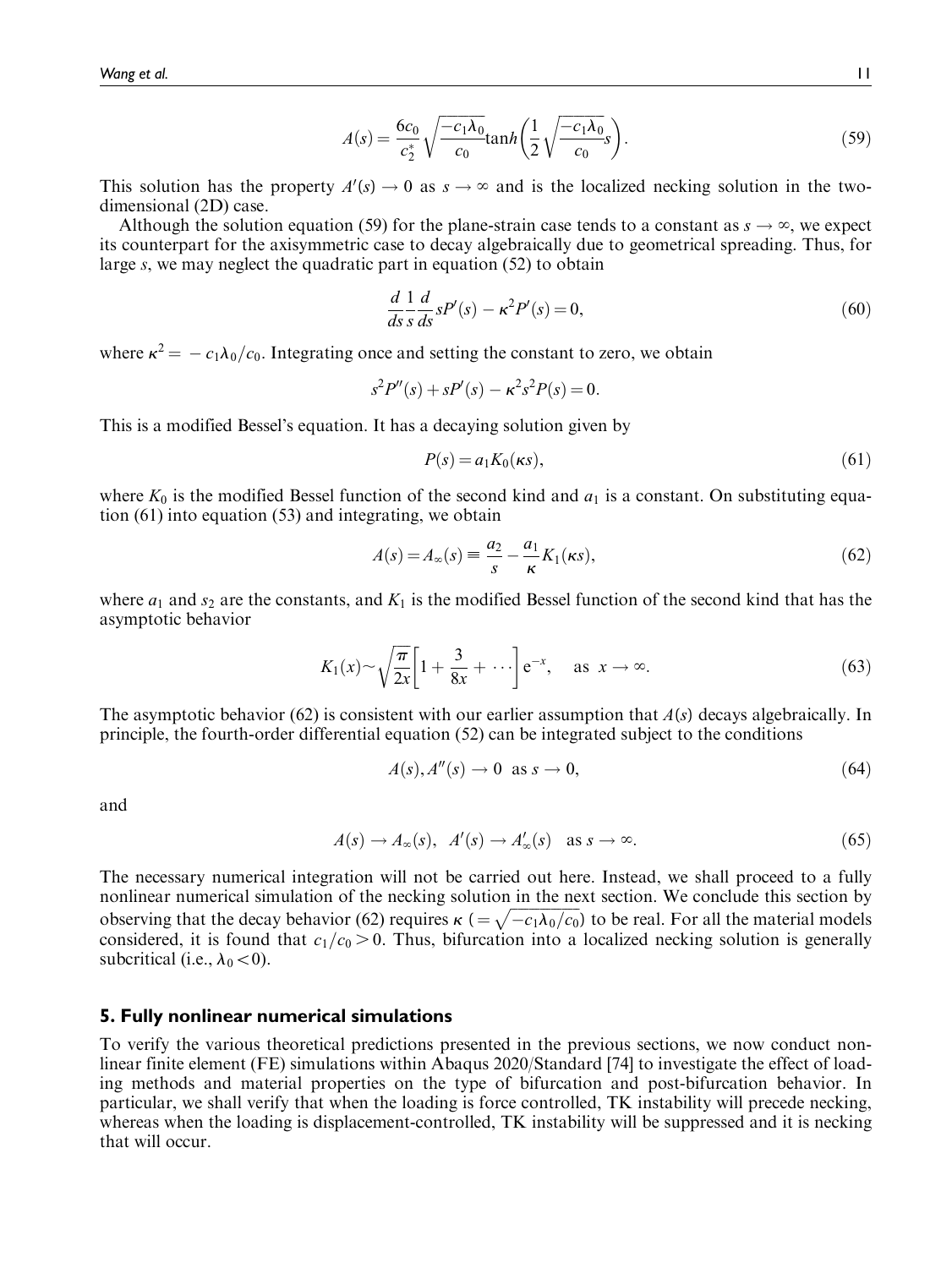$$
A(s) = \frac{6c_0}{c_2^*} \sqrt{\frac{-c_1 \lambda_0}{c_0}} \tanh\left(\frac{1}{2} \sqrt{\frac{-c_1 \lambda_0}{c_0}} s\right).
$$
 (59)

This solution has the property  $A'(s) \to 0$  as  $s \to \infty$  and is the localized necking solution in the twodimensional (2D) case.

Although the solution equation (59) for the plane-strain case tends to a constant as  $s \to \infty$ , we expect its counterpart for the axisymmetric case to decay algebraically due to geometrical spreading. Thus, for large s, we may neglect the quadratic part in equation (52) to obtain

$$
\frac{d}{ds}\frac{1}{s}\frac{d}{ds}sP'(s) - \kappa^2 P'(s) = 0,\tag{60}
$$

where  $\kappa^2 = -c_1\lambda_0/c_0$ . Integrating once and setting the constant to zero, we obtain

$$
s^{2}P''(s) + sP'(s) - \kappa^{2}s^{2}P(s) = 0.
$$

This is a modified Bessel's equation. It has a decaying solution given by

$$
P(s) = a_1 K_0(\kappa s),\tag{61}
$$

where  $K_0$  is the modified Bessel function of the second kind and  $a_1$  is a constant. On substituting equation (61) into equation (53) and integrating, we obtain

$$
A(s) = A_{\infty}(s) \equiv \frac{a_2}{s} - \frac{a_1}{\kappa} K_1(\kappa s),\tag{62}
$$

where  $a_1$  and  $s_2$  are the constants, and  $K_1$  is the modified Bessel function of the second kind that has the asymptotic behavior

$$
K_1(x) \sim \sqrt{\frac{\pi}{2x}} \left[ 1 + \frac{3}{8x} + \cdots \right] e^{-x}, \quad \text{as } x \to \infty.
$$
 (63)

The asymptotic behavior (62) is consistent with our earlier assumption that  $A(s)$  decays algebraically. In principle, the fourth-order differential equation (52) can be integrated subject to the conditions

$$
A(s), A''(s) \to 0 \text{ as } s \to 0,
$$
\n
$$
(64)
$$

and

$$
A(s) \to A_{\infty}(s), \ \ A'(s) \to A'_{\infty}(s) \quad \text{as } s \to \infty.
$$

The necessary numerical integration will not be carried out here. Instead, we shall proceed to a fully nonlinear numerical simulation of the necking solution in the next section. We conclude this section by observing that the decay behavior (62) requires  $\kappa$  ( $=\sqrt{-c_1\lambda_0/c_0}$ ) to be real. For all the material models considered, it is found that  $c_1/c_0 > 0$ . Thus, bifurcation into a localized necking solution is generally subcritical (i.e.,  $\lambda_0\lt 0$ ).

## 5. Fully nonlinear numerical simulations

To verify the various theoretical predictions presented in the previous sections, we now conduct nonlinear finite element (FE) simulations within Abaqus 2020/Standard [74] to investigate the effect of loading methods and material properties on the type of bifurcation and post-bifurcation behavior. In particular, we shall verify that when the loading is force controlled, TK instability will precede necking, whereas when the loading is displacement-controlled, TK instability will be suppressed and it is necking that will occur.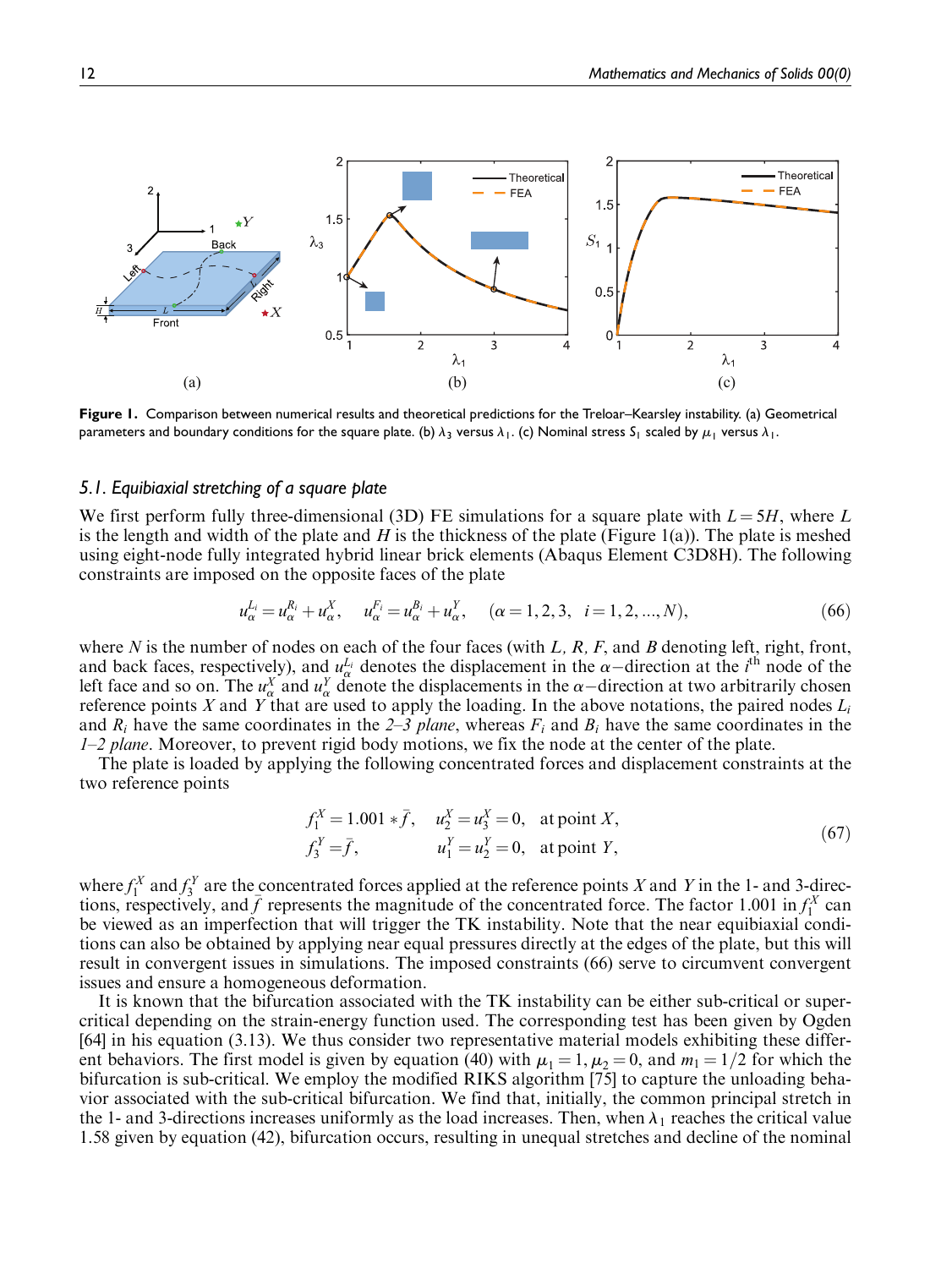

Figure 1. Comparison between numerical results and theoretical predictions for the Treloar–Kearsley instability. (a) Geometrical parameters and boundary conditions for the square plate. (b)  $\lambda_3$  versus  $\lambda_1$ . (c) Nominal stress S<sub>1</sub> scaled by  $\mu_1$  versus  $\lambda_1$ .

## 5.1. Equibiaxial stretching of a square plate

We first perform fully three-dimensional (3D) FE simulations for a square plate with  $L = 5H$ , where L is the length and width of the plate and H is the thickness of the plate (Figure 1(a)). The plate is meshed using eight-node fully integrated hybrid linear brick elements (Abaqus Element C3D8H). The following constraints are imposed on the opposite faces of the plate

$$
u_{\alpha}^{L_i} = u_{\alpha}^{R_i} + u_{\alpha}^X, \quad u_{\alpha}^{F_i} = u_{\alpha}^{B_i} + u_{\alpha}^Y, \quad (\alpha = 1, 2, 3, i = 1, 2, ..., N), \tag{66}
$$

where N is the number of nodes on each of the four faces (with L, R, F, and B denoting left, right, front, and back faces, respectively), and  $u_{\alpha}^{L_i}$  denotes the displacement in the  $\alpha$ -direction at the i<sup>th</sup> node of the left face and so on. The  $u^X_\alpha$  and  $u^Y_\alpha$  denote the displacements in the  $\alpha$ -direction at two arbitrarily chosen reference points  $X$  and  $Y$  that are used to apply the loading. In the above notations, the paired nodes  $L_i$ and  $R_i$  have the same coordinates in the 2–3 plane, whereas  $F_i$  and  $B_i$  have the same coordinates in the  $1-2$  plane. Moreover, to prevent rigid body motions, we fix the node at the center of the plate.

The plate is loaded by applying the following concentrated forces and displacement constraints at the two reference points

$$
f_1^X = 1.001 * \bar{f}, \quad u_2^X = u_3^X = 0, \quad \text{at point } X,
$$
  
\n
$$
f_3^Y = \bar{f}, \quad u_1^Y = u_2^Y = 0, \quad \text{at point } Y,
$$
\n(67)

where  $f_1^X$  and  $f_3^Y$  are the concentrated forces applied at the reference points X and Y in the 1- and 3-directions, respectively, and  $\bar{f}$  represents the magnitude of the concentrated force. The factor 1.001 in  $f_1^X$  can be viewed as an imperfection that will trigger the TK instability. Note that the near equibiaxial conditions can also be obtained by applying near equal pressures directly at the edges of the plate, but this will result in convergent issues in simulations. The imposed constraints (66) serve to circumvent convergent issues and ensure a homogeneous deformation.

It is known that the bifurcation associated with the TK instability can be either sub-critical or supercritical depending on the strain-energy function used. The corresponding test has been given by Ogden [64] in his equation (3.13). We thus consider two representative material models exhibiting these different behaviors. The first model is given by equation (40) with  $\mu_1 = 1, \mu_2 = 0$ , and  $m_1 = 1/2$  for which the bifurcation is sub-critical. We employ the modified RIKS algorithm [75] to capture the unloading behavior associated with the sub-critical bifurcation. We find that, initially, the common principal stretch in the 1- and 3-directions increases uniformly as the load increases. Then, when  $\lambda_1$  reaches the critical value 1.58 given by equation (42), bifurcation occurs, resulting in unequal stretches and decline of the nominal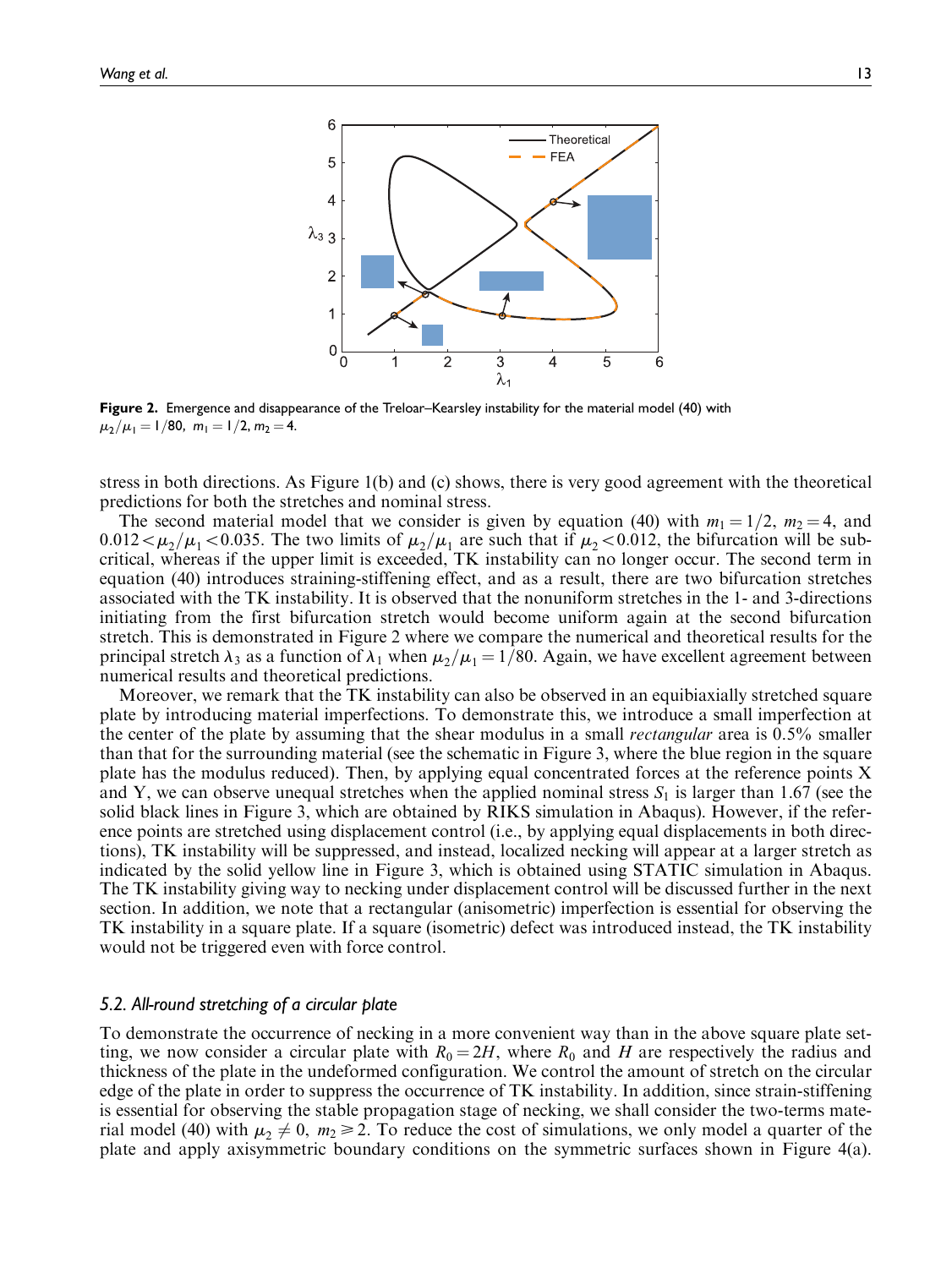

Figure 2. Emergence and disappearance of the Treloar–Kearsley instability for the material model (40) with  $\mu_2/\mu_1 = 1/80$ ,  $m_1 = 1/2$ ,  $m_2 = 4$ .

stress in both directions. As Figure 1(b) and (c) shows, there is very good agreement with the theoretical predictions for both the stretches and nominal stress.

The second material model that we consider is given by equation (40) with  $m_1 = 1/2$ ,  $m_2 = 4$ , and  $0.012<\mu_2/\mu_1<0.035$ . The two limits of  $\mu_2/\mu_1$  are such that if  $\mu_2<0.012$ , the bifurcation will be subcritical, whereas if the upper limit is exceeded, TK instability can no longer occur. The second term in equation (40) introduces straining-stiffening effect, and as a result, there are two bifurcation stretches associated with the TK instability. It is observed that the nonuniform stretches in the 1- and 3-directions initiating from the first bifurcation stretch would become uniform again at the second bifurcation stretch. This is demonstrated in Figure 2 where we compare the numerical and theoretical results for the principal stretch  $\lambda_3$  as a function of  $\lambda_1$  when  $\mu_2/\mu_1 = 1/80$ . Again, we have excellent agreement between numerical results and theoretical predictions.

Moreover, we remark that the TK instability can also be observed in an equibiaxially stretched square plate by introducing material imperfections. To demonstrate this, we introduce a small imperfection at the center of the plate by assuming that the shear modulus in a small rectangular area is 0.5% smaller than that for the surrounding material (see the schematic in Figure 3, where the blue region in the square plate has the modulus reduced). Then, by applying equal concentrated forces at the reference points X and Y, we can observe unequal stretches when the applied nominal stress  $S_1$  is larger than 1.67 (see the solid black lines in Figure 3, which are obtained by RIKS simulation in Abaqus). However, if the reference points are stretched using displacement control (i.e., by applying equal displacements in both directions), TK instability will be suppressed, and instead, localized necking will appear at a larger stretch as indicated by the solid yellow line in Figure 3, which is obtained using STATIC simulation in Abaqus. The TK instability giving way to necking under displacement control will be discussed further in the next section. In addition, we note that a rectangular (anisometric) imperfection is essential for observing the TK instability in a square plate. If a square (isometric) defect was introduced instead, the TK instability would not be triggered even with force control.

## 5.2. All-round stretching of a circular plate

To demonstrate the occurrence of necking in a more convenient way than in the above square plate setting, we now consider a circular plate with  $R_0 = 2H$ , where  $R_0$  and H are respectively the radius and thickness of the plate in the undeformed configuration. We control the amount of stretch on the circular edge of the plate in order to suppress the occurrence of TK instability. In addition, since strain-stiffening is essential for observing the stable propagation stage of necking, we shall consider the two-terms material model (40) with  $\mu_2 \neq 0$ ,  $m_2 \geq 2$ . To reduce the cost of simulations, we only model a quarter of the plate and apply axisymmetric boundary conditions on the symmetric surfaces shown in Figure 4(a).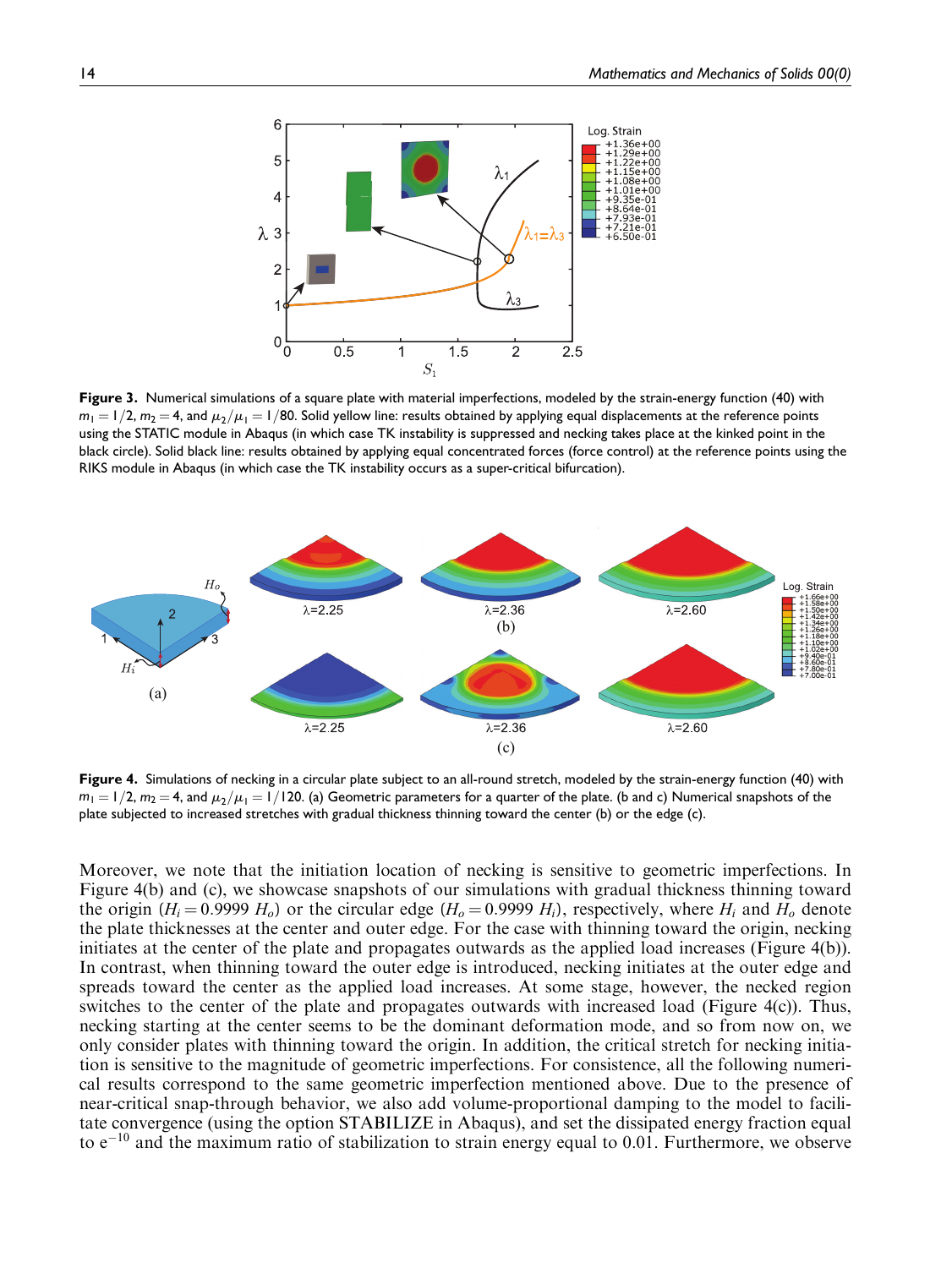

Figure 3. Numerical simulations of a square plate with material imperfections, modeled by the strain-energy function (40) with  $m_1 = 1/2$ ,  $m_2 = 4$ , and  $\mu_2/\mu_1 = 1/80$ . Solid yellow line: results obtained by applying equal displacements at the reference points using the STATIC module in Abaqus (in which case TK instability is suppressed and necking takes place at the kinked point in the black circle). Solid black line: results obtained by applying equal concentrated forces (force control) at the reference points using the RIKS module in Abaqus (in which case the TK instability occurs as a super-critical bifurcation).



Figure 4. Simulations of necking in a circular plate subject to an all-round stretch, modeled by the strain-energy function (40) with  $m_1 = 1/2$ ,  $m_2 = 4$ , and  $\mu_2/\mu_1 = 1/120$ . (a) Geometric parameters for a quarter of the plate. (b and c) Numerical snapshots of the plate subjected to increased stretches with gradual thickness thinning toward the center (b) or the edge (c).

Moreover, we note that the initiation location of necking is sensitive to geometric imperfections. In Figure 4(b) and (c), we showcase snapshots of our simulations with gradual thickness thinning toward the origin ( $H_i = 0.9999$   $H_o$ ) or the circular edge ( $H_o = 0.9999$   $H_i$ ), respectively, where  $H_i$  and  $H_o$  denote the plate thicknesses at the center and outer edge. For the case with thinning toward the origin, necking initiates at the center of the plate and propagates outwards as the applied load increases (Figure 4(b)). In contrast, when thinning toward the outer edge is introduced, necking initiates at the outer edge and spreads toward the center as the applied load increases. At some stage, however, the necked region switches to the center of the plate and propagates outwards with increased load (Figure 4(c)). Thus, necking starting at the center seems to be the dominant deformation mode, and so from now on, we only consider plates with thinning toward the origin. In addition, the critical stretch for necking initiation is sensitive to the magnitude of geometric imperfections. For consistence, all the following numerical results correspond to the same geometric imperfection mentioned above. Due to the presence of near-critical snap-through behavior, we also add volume-proportional damping to the model to facilitate convergence (using the option STABILIZE in Abaqus), and set the dissipated energy fraction equal to  $e^{-10}$  and the maximum ratio of stabilization to strain energy equal to 0.01. Furthermore, we observe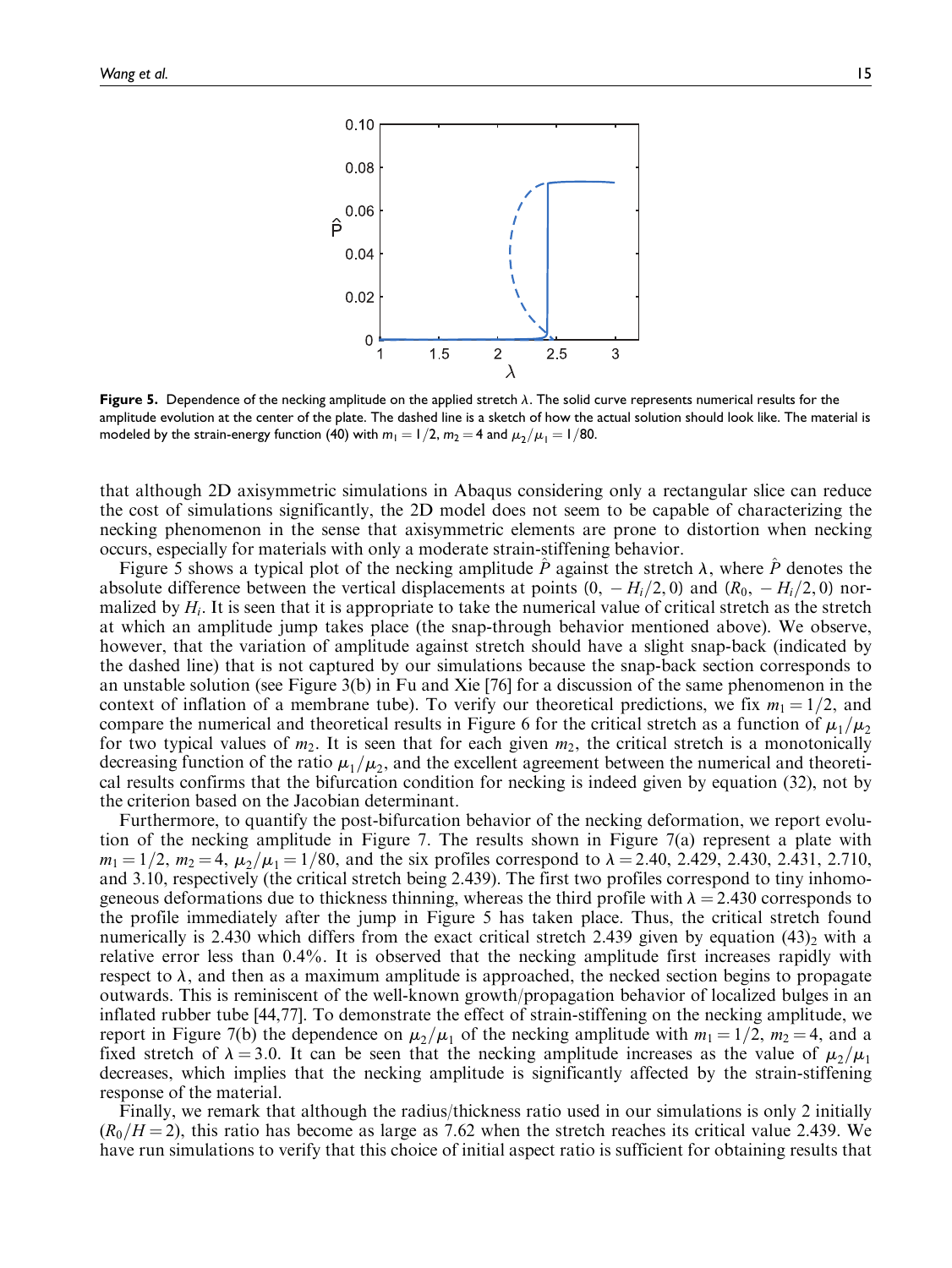

Figure 5. Dependence of the necking amplitude on the applied stretch  $\lambda$ . The solid curve represents numerical results for the amplitude evolution at the center of the plate. The dashed line is a sketch of how the actual solution should look like. The material is modeled by the strain-energy function (40) with  $m_1 = 1/2$ ,  $m_2 = 4$  and  $\mu_2/\mu_1 = 1/80$ .

that although 2D axisymmetric simulations in Abaqus considering only a rectangular slice can reduce the cost of simulations significantly, the 2D model does not seem to be capable of characterizing the necking phenomenon in the sense that axisymmetric elements are prone to distortion when necking occurs, especially for materials with only a moderate strain-stiffening behavior.

Figure 5 shows a typical plot of the necking amplitude  $\ddot{P}$  against the stretch  $\lambda$ , where  $\ddot{P}$  denotes the absolute difference between the vertical displacements at points  $(0, -H_i/2, 0)$  and  $(R_0, -H_i/2, 0)$  normalized by  $H_i$ . It is seen that it is appropriate to take the numerical value of critical stretch as the stretch at which an amplitude jump takes place (the snap-through behavior mentioned above). We observe, however, that the variation of amplitude against stretch should have a slight snap-back (indicated by the dashed line) that is not captured by our simulations because the snap-back section corresponds to an unstable solution (see Figure 3(b) in Fu and Xie [76] for a discussion of the same phenomenon in the context of inflation of a membrane tube). To verify our theoretical predictions, we fix  $m_1 = 1/2$ , and compare the numerical and theoretical results in Figure 6 for the critical stretch as a function of  $\mu_1/\mu_2$ for two typical values of  $m_2$ . It is seen that for each given  $m_2$ , the critical stretch is a monotonically decreasing function of the ratio  $\mu_1/\mu_2$ , and the excellent agreement between the numerical and theoretical results confirms that the bifurcation condition for necking is indeed given by equation (32), not by the criterion based on the Jacobian determinant.

Furthermore, to quantify the post-bifurcation behavior of the necking deformation, we report evolution of the necking amplitude in Figure 7. The results shown in Figure 7(a) represent a plate with  $m_1 = 1/2$ ,  $m_2 = 4$ ,  $\mu_2/\mu_1 = 1/80$ , and the six profiles correspond to  $\lambda = 2.40$ , 2.429, 2.430, 2.431, 2.710, and 3.10, respectively (the critical stretch being 2.439). The first two profiles correspond to tiny inhomogeneous deformations due to thickness thinning, whereas the third profile with  $\lambda = 2.430$  corresponds to the profile immediately after the jump in Figure 5 has taken place. Thus, the critical stretch found numerically is 2.430 which differs from the exact critical stretch 2.439 given by equation (43)<sub>2</sub> with a relative error less than 0.4%. It is observed that the necking amplitude first increases rapidly with respect to  $\lambda$ , and then as a maximum amplitude is approached, the necked section begins to propagate outwards. This is reminiscent of the well-known growth/propagation behavior of localized bulges in an inflated rubber tube [44,77]. To demonstrate the effect of strain-stiffening on the necking amplitude, we report in Figure 7(b) the dependence on  $\mu_2/\mu_1$  of the necking amplitude with  $m_1 = 1/2$ ,  $m_2 = 4$ , and a fixed stretch of  $\lambda = 3.0$ . It can be seen that the necking amplitude increases as the value of  $\mu_2/\mu_1$ decreases, which implies that the necking amplitude is significantly affected by the strain-stiffening response of the material.

Finally, we remark that although the radius/thickness ratio used in our simulations is only 2 initially  $(R_0/H = 2)$ , this ratio has become as large as 7.62 when the stretch reaches its critical value 2.439. We have run simulations to verify that this choice of initial aspect ratio is sufficient for obtaining results that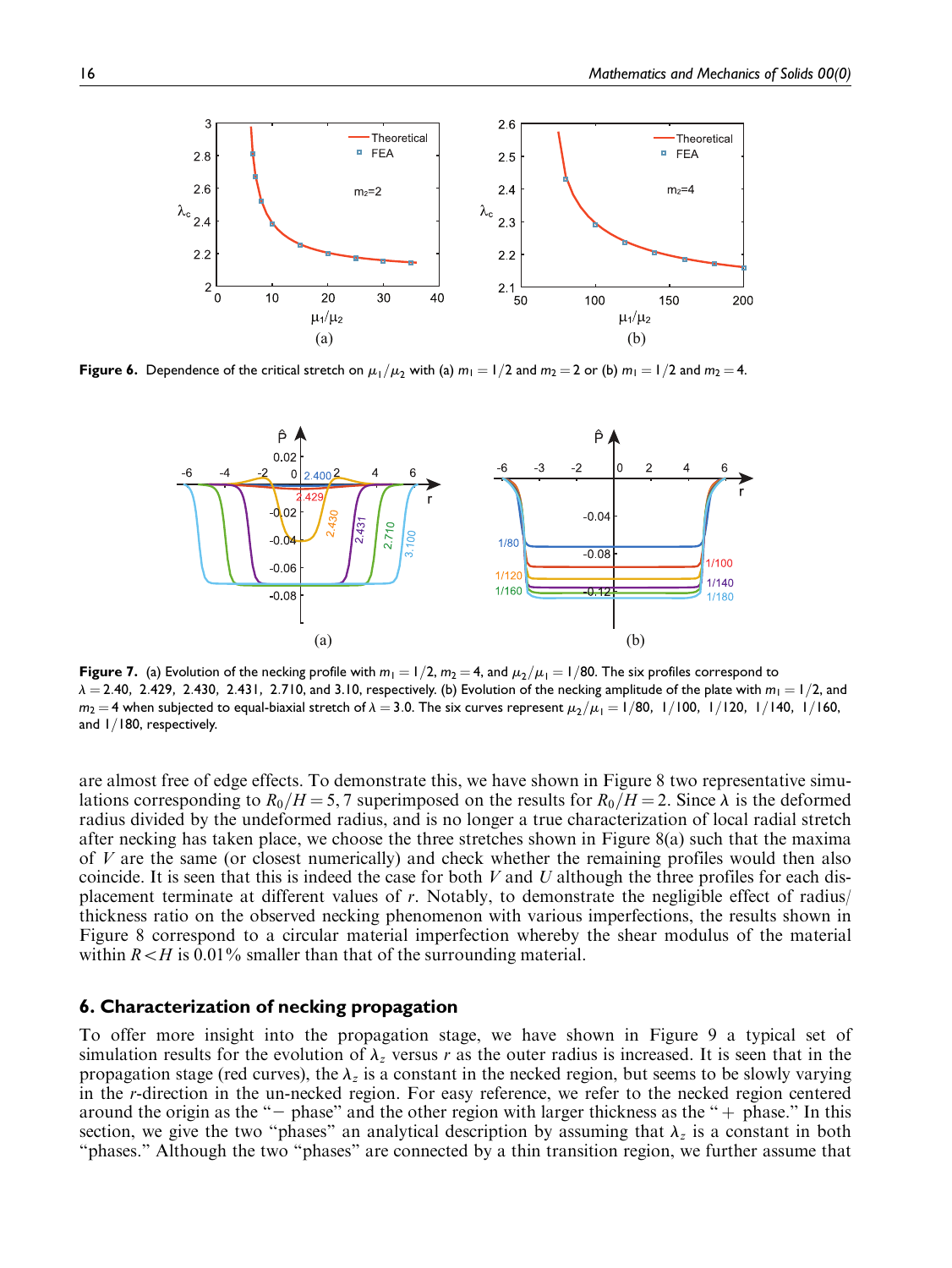

Figure 6. Dependence of the critical stretch on  $\mu_1/\mu_2$  with (a)  $m_1 = 1/2$  and  $m_2 = 2$  or (b)  $m_1 = 1/2$  and  $m_2 = 4$ .



Figure 7. (a) Evolution of the necking profile with  $m_1 = 1/2$ ,  $m_2 = 4$ , and  $\mu_2/\mu_1 = 1/80$ . The six profiles correspond to  $\lambda = 2.40$ , 2.429, 2.430, 2.431, 2.710, and 3.10, respectively. (b) Evolution of the necking amplitude of the plate with  $m_1 = 1/2$ , and  $m_2 = 4$  when subjected to equal-biaxial stretch of  $\lambda = 3.0$ . The six curves represent  $\mu_2/\mu_1 = 1/80$ ,  $1/100$ ,  $1/120$ ,  $1/140$ ,  $1/160$ , and  $1/180$ , respectively.

are almost free of edge effects. To demonstrate this, we have shown in Figure 8 two representative simulations corresponding to  $R_0/H = 5, 7$  superimposed on the results for  $R_0/H = 2$ . Since  $\lambda$  is the deformed radius divided by the undeformed radius, and is no longer a true characterization of local radial stretch after necking has taken place, we choose the three stretches shown in Figure 8(a) such that the maxima of V are the same (or closest numerically) and check whether the remaining profiles would then also coincide. It is seen that this is indeed the case for both  $V$  and  $U$  although the three profiles for each displacement terminate at different values of r. Notably, to demonstrate the negligible effect of radius/ thickness ratio on the observed necking phenomenon with various imperfections, the results shown in Figure 8 correspond to a circular material imperfection whereby the shear modulus of the material within  $R \leq H$  is 0.01% smaller than that of the surrounding material.

## 6. Characterization of necking propagation

To offer more insight into the propagation stage, we have shown in Figure 9 a typical set of simulation results for the evolution of  $\lambda_z$  versus r as the outer radius is increased. It is seen that in the propagation stage (red curves), the  $\lambda_z$  is a constant in the necked region, but seems to be slowly varying in the r-direction in the un-necked region. For easy reference, we refer to the necked region centered around the origin as the " $-$  phase" and the other region with larger thickness as the " $+$  phase." In this section, we give the two "phases" an analytical description by assuming that  $\lambda_z$  is a constant in both "phases." Although the two "phases" are connected by a thin transition region, we further assume that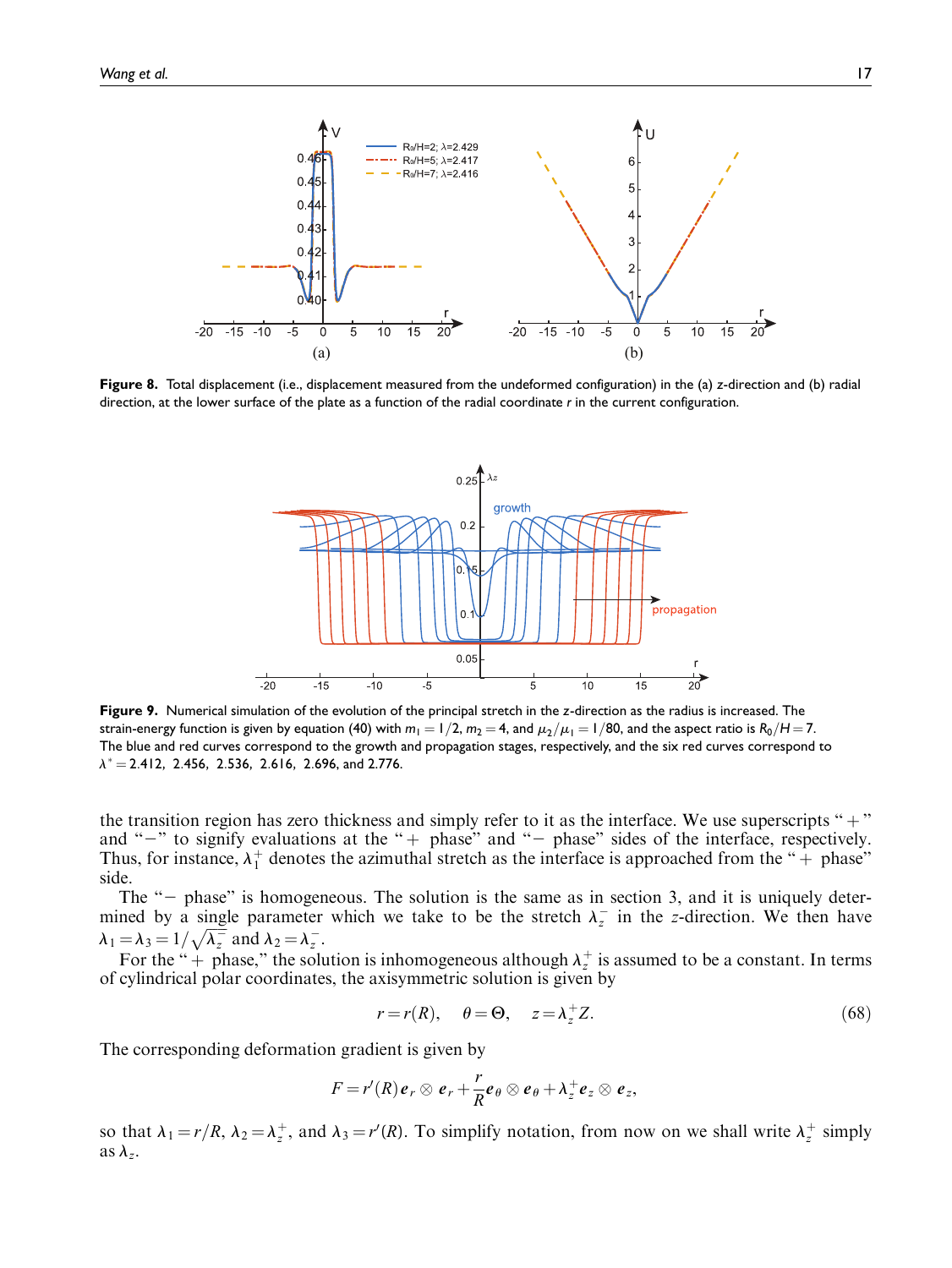

Figure 8. Total displacement (i.e., displacement measured from the undeformed configuration) in the (a) z-direction and (b) radial direction, at the lower surface of the plate as a function of the radial coordinate r in the current configuration.



Figure 9. Numerical simulation of the evolution of the principal stretch in the z-direction as the radius is increased. The strain-energy function is given by equation (40) with  $m_1 = 1/2$ ,  $m_2 = 4$ , and  $\mu_2/\mu_1 = 1/80$ , and the aspect ratio is R<sub>0</sub>/H = 7. The blue and red curves correspond to the growth and propagation stages, respectively, and the six red curves correspond to  $\lambda^* = 2.412$ , 2.456, 2.536, 2.616, 2.696, and 2.776.

the transition region has zero thickness and simply refer to it as the interface. We use superscripts " $+$ " and " $-$ " to signify evaluations at the " $+$  phase" and " $-$  phase" sides of the interface, respectively. Thus, for instance,  $\lambda_1^+$  denotes the azimuthal stretch as the interface is approached from the " $+$  phase" side.

The  $-$  phase" is homogeneous. The solution is the same as in section 3, and it is uniquely determined by a single parameter which we take to be the stretch  $\lambda_z$  in the z-direction. We then have  $\lambda_1 = \lambda_3 = 1/\sqrt{\lambda_z^2}$  and  $\lambda_2 = \lambda_z^2$ .

For the " + phase," the solution is inhomogeneous although  $\lambda_z^+$  is assumed to be a constant. In terms of cylindrical polar coordinates, the axisymmetric solution is given by

$$
r = r(R), \quad \theta = \Theta, \quad z = \lambda_z^+ Z. \tag{68}
$$

The corresponding deformation gradient is given by

$$
F=r'(R)e_r\otimes e_r+\frac{r}{R}e_\theta\otimes e_\theta+\lambda_z^+e_z\otimes e_z,
$$

so that  $\lambda_1 = r/R$ ,  $\lambda_2 = \lambda_z^+$ , and  $\lambda_3 = r'(R)$ . To simplify notation, from now on we shall write  $\lambda_z^+$  simply as  $\lambda_z$ .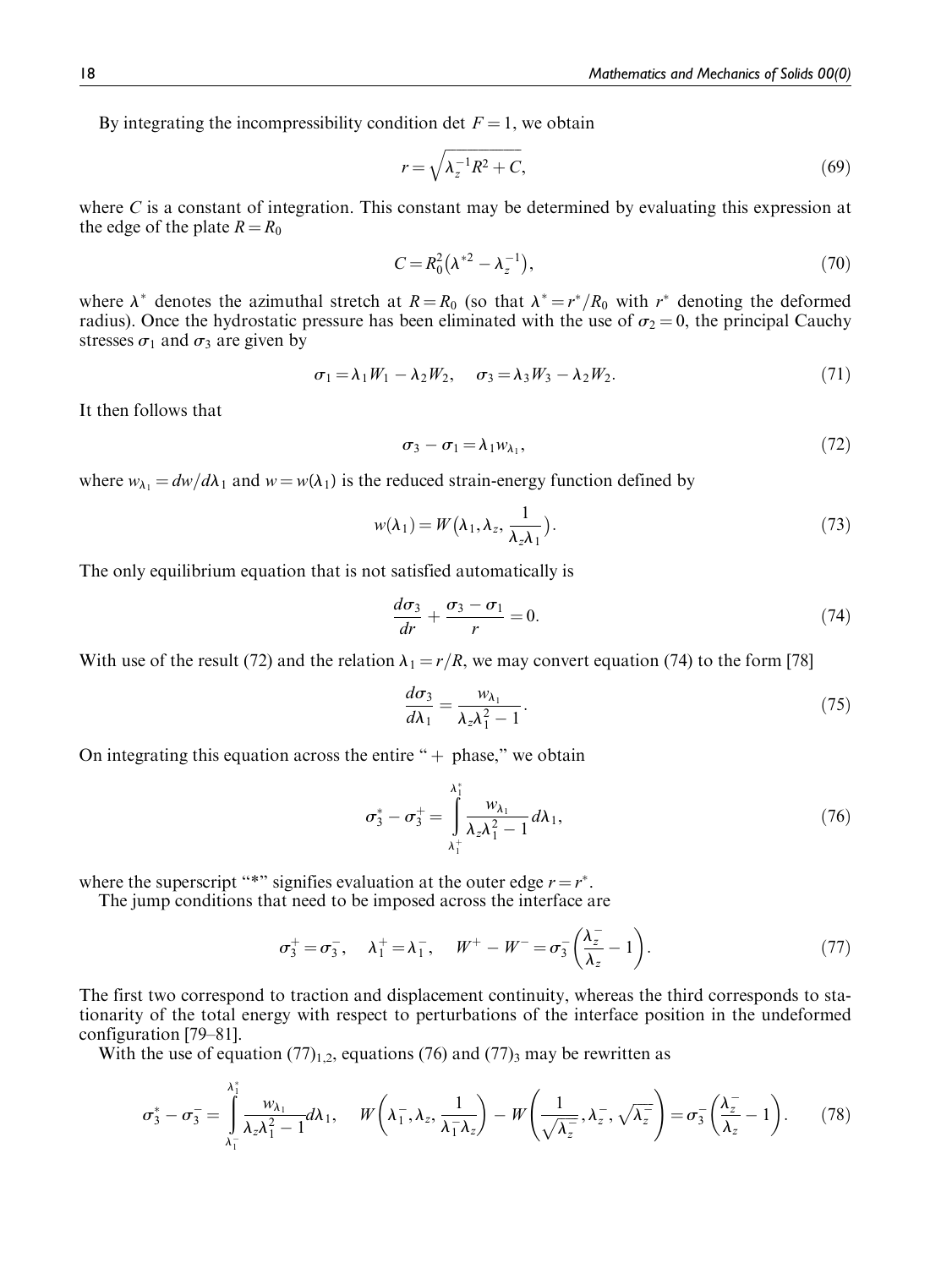By integrating the incompressibility condition det  $F = 1$ , we obtain

$$
r = \sqrt{\lambda_z^{-1} R^2 + C},\tag{69}
$$

where  $C$  is a constant of integration. This constant may be determined by evaluating this expression at the edge of the plate  $R = R_0$ 

$$
C = R_0^2 (\lambda^{*2} - \lambda_z^{-1}), \tag{70}
$$

where  $\lambda^*$  denotes the azimuthal stretch at  $R = R_0$  (so that  $\lambda^* = r^*/R_0$  with  $r^*$  denoting the deformed radius). Once the hydrostatic pressure has been eliminated with the use of  $\sigma_2 = 0$ , the principal Cauchy stresses  $\sigma_1$  and  $\sigma_3$  are given by

$$
\sigma_1 = \lambda_1 W_1 - \lambda_2 W_2, \quad \sigma_3 = \lambda_3 W_3 - \lambda_2 W_2. \tag{71}
$$

It then follows that

$$
\sigma_3 - \sigma_1 = \lambda_1 w_{\lambda_1},\tag{72}
$$

where  $w_{\lambda_1} = dw/d\lambda_1$  and  $w = w(\lambda_1)$  is the reduced strain-energy function defined by

$$
w(\lambda_1) = W(\lambda_1, \lambda_z, \frac{1}{\lambda_z \lambda_1}).
$$
\n(73)

The only equilibrium equation that is not satisfied automatically is

$$
\frac{d\sigma_3}{dr} + \frac{\sigma_3 - \sigma_1}{r} = 0.
$$
\n(74)

With use of the result (72) and the relation  $\lambda_1 = r/R$ , we may convert equation (74) to the form [78]

$$
\frac{d\sigma_3}{d\lambda_1} = \frac{w_{\lambda_1}}{\lambda_z \lambda_1^2 - 1}.
$$
\n(75)

On integrating this equation across the entire " $+$  phase," we obtain

$$
\sigma_3^* - \sigma_3^+ = \int_{\lambda_1^+}^{\lambda_1^*} \frac{w_{\lambda_1}}{\lambda_2 \lambda_1^2 - 1} d\lambda_1,
$$
\n(76)

where the superscript "\*" signifies evaluation at the outer edge  $r = r^*$ .

The jump conditions that need to be imposed across the interface are

$$
\sigma_3^+ = \sigma_3^-, \quad \lambda_1^+ = \lambda_1^-, \quad W^+ - W^- = \sigma_3^-\left(\frac{\lambda_z^-}{\lambda_z^-} - 1\right). \tag{77}
$$

The first two correspond to traction and displacement continuity, whereas the third corresponds to stationarity of the total energy with respect to perturbations of the interface position in the undeformed configuration [79–81].

With the use of equation  $(77)_{1,2}$ , equations (76) and  $(77)_{3}$  may be rewritten as

$$
\sigma_3^* - \sigma_3^- = \int_{\lambda_1^-}^{\lambda_1^*} \frac{w_{\lambda_1}}{\lambda_2 \lambda_1^2 - 1} d\lambda_1, \quad W\left(\lambda_1^-, \lambda_2, \frac{1}{\lambda_1^- \lambda_2}\right) - W\left(\frac{1}{\sqrt{\lambda_2^-}}, \lambda_2^-, \sqrt{\lambda_2^-}\right) = \sigma_3^- \left(\frac{\lambda_2^-}{\lambda_2^-} - 1\right). \tag{78}
$$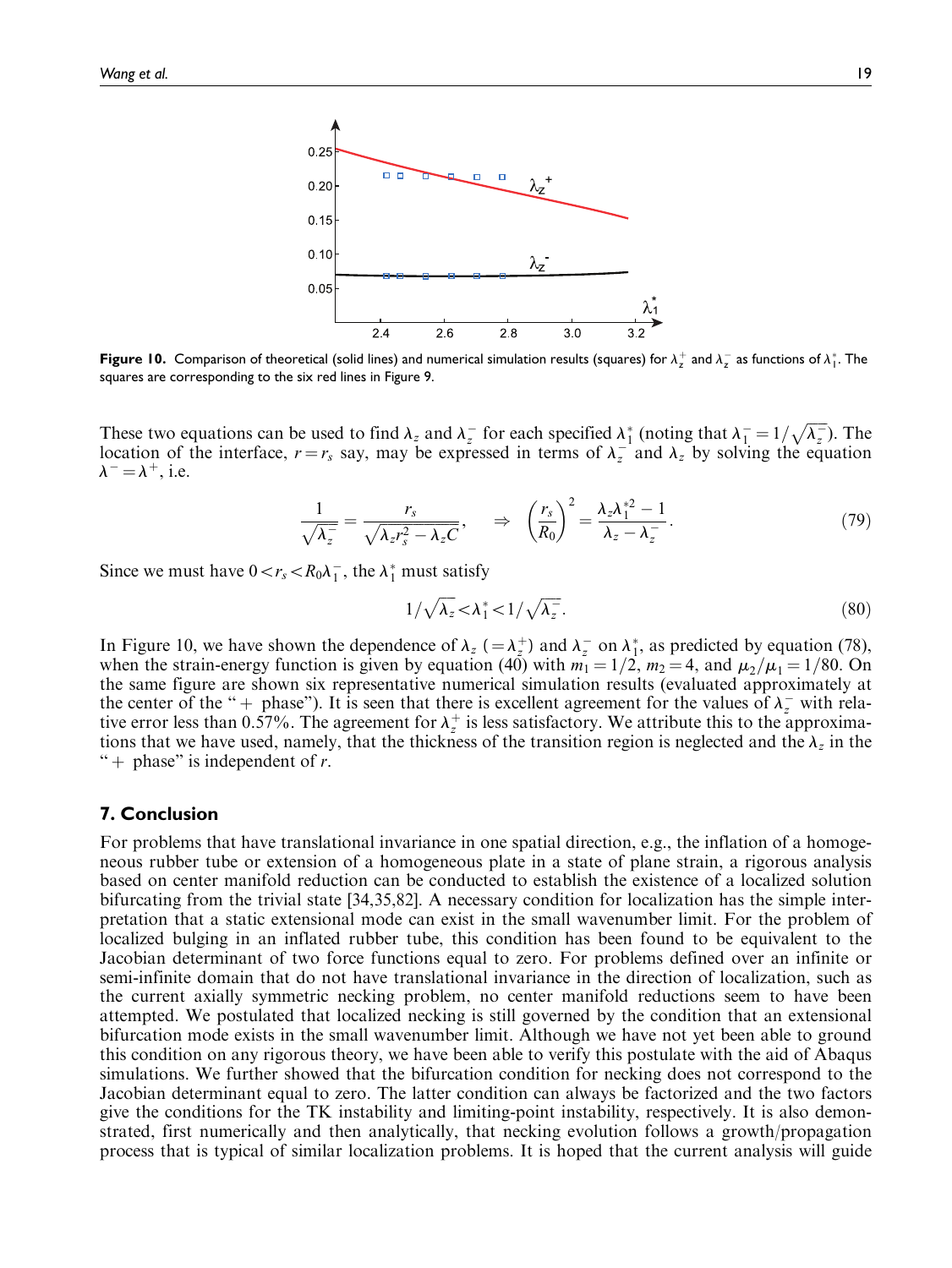

**Figure 10.** Comparison of theoretical (solid lines) and numerical simulation results (squares) for  $\lambda_ z^+$  and  $\lambda_ z^-$  as functions of  $\lambda_1^*.$  The squares are corresponding to the six red lines in Figure 9.

These two equations can be used to find  $\lambda_z$  and  $\lambda_z$  for each specified  $\lambda_1^*$  (noting that  $\lambda_1^-$ )  $\overline{1} = 1/\sqrt{\lambda_z^2}$ ). The location of the interface,  $r = r_s$  say, may be expressed in terms of  $\lambda_z$  and  $\lambda_z$  by solving the equation  $\lambda^- = \lambda^+$ , i.e.

$$
\frac{1}{\sqrt{\lambda_z}} = \frac{r_s}{\sqrt{\lambda_z r_s^2 - \lambda_z C}}, \quad \Rightarrow \quad \left(\frac{r_s}{R_0}\right)^2 = \frac{\lambda_z \lambda_1^{*2} - 1}{\lambda_z - \lambda_z}. \tag{79}
$$

Since we must have  $0 < r_s < R_0 \lambda_1^-$ , the  $\lambda_1^*$  must satisfy

$$
1/\sqrt{\lambda_z} < \lambda_1^* < 1/\sqrt{\lambda_z^*}.\tag{80}
$$

In Figure 10, we have shown the dependence of  $\lambda_z$  ( $=\lambda_z^+$ ) and  $\lambda_z^-$  on  $\lambda_1^*$ , as predicted by equation (78), when the strain-energy function is given by equation (40) with  $m_1 = 1/2$ ,  $m_2 = 4$ , and  $\mu_2/\mu_1 = 1/80$ . On the same figure are shown six representative numerical simulation results (evaluated approximately at the center of the "+ phase"). It is seen that there is excellent agreement for the values of  $\lambda_z^-$  with relative error less than 0.57%. The agreement for  $\lambda_z^+$  is less satisfactory. We attribute this to the approximations that we have used, namely, that the thickness of the transition region is neglected and the  $\lambda_z$  in the " + phase" is independent of  $r$ .

# 7. Conclusion

For problems that have translational invariance in one spatial direction, e.g., the inflation of a homogeneous rubber tube or extension of a homogeneous plate in a state of plane strain, a rigorous analysis based on center manifold reduction can be conducted to establish the existence of a localized solution bifurcating from the trivial state [34,35,82]. A necessary condition for localization has the simple interpretation that a static extensional mode can exist in the small wavenumber limit. For the problem of localized bulging in an inflated rubber tube, this condition has been found to be equivalent to the Jacobian determinant of two force functions equal to zero. For problems defined over an infinite or semi-infinite domain that do not have translational invariance in the direction of localization, such as the current axially symmetric necking problem, no center manifold reductions seem to have been attempted. We postulated that localized necking is still governed by the condition that an extensional bifurcation mode exists in the small wavenumber limit. Although we have not yet been able to ground this condition on any rigorous theory, we have been able to verify this postulate with the aid of Abaqus simulations. We further showed that the bifurcation condition for necking does not correspond to the Jacobian determinant equal to zero. The latter condition can always be factorized and the two factors give the conditions for the TK instability and limiting-point instability, respectively. It is also demonstrated, first numerically and then analytically, that necking evolution follows a growth/propagation process that is typical of similar localization problems. It is hoped that the current analysis will guide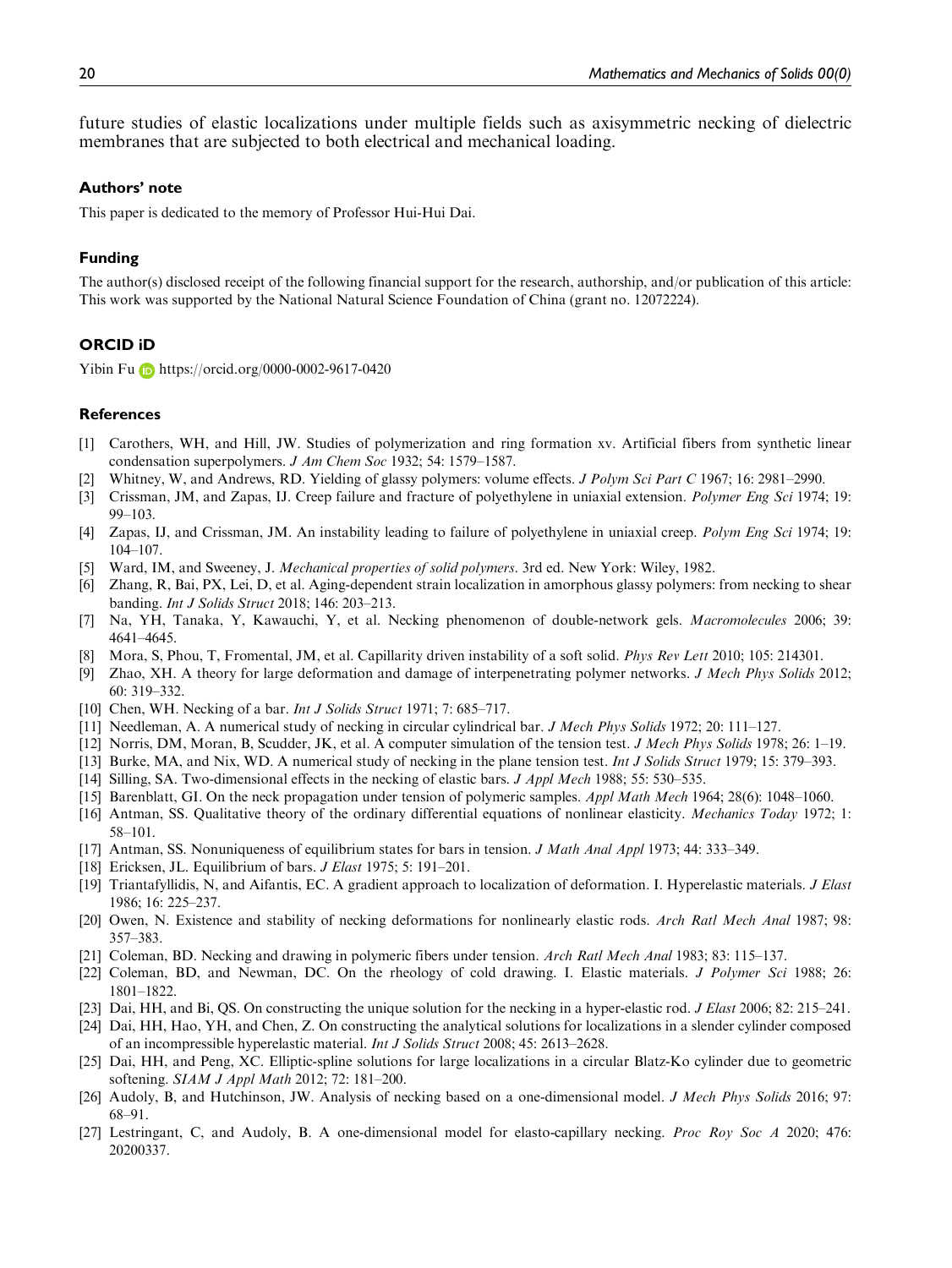future studies of elastic localizations under multiple fields such as axisymmetric necking of dielectric membranes that are subjected to both electrical and mechanical loading.

#### Authors' note

This paper is dedicated to the memory of Professor Hui-Hui Dai.

#### Funding

The author(s) disclosed receipt of the following financial support for the research, authorship, and/or publication of this article: This work was supported by the National Natural Science Foundation of China (grant no. 12072224).

#### ORCID iD

Yibin Fu <https://orcid.org/0000-0002-9617-0420>

#### **References**

- [1] Carothers, WH, and Hill, JW. Studies of polymerization and ring formation xv. Artificial fibers from synthetic linear condensation superpolymers. J Am Chem Soc 1932; 54: 1579–1587.
- [2] Whitney, W, and Andrews, RD. Yielding of glassy polymers: volume effects. *J Polym Sci Part C* 1967; 16: 2981–2990.
- [3] Crissman, JM, and Zapas, IJ. Creep failure and fracture of polyethylene in uniaxial extension. *Polymer Eng Sci* 1974; 19: 99–103.
- [4] Zapas, IJ, and Crissman, JM. An instability leading to failure of polyethylene in uniaxial creep. Polym Eng Sci 1974; 19: 104–107.
- [5] Ward, IM, and Sweeney, J. Mechanical properties of solid polymers. 3rd ed. New York: Wiley, 1982.
- [6] Zhang, R, Bai, PX, Lei, D, et al. Aging-dependent strain localization in amorphous glassy polymers: from necking to shear banding. Int J Solids Struct 2018; 146: 203–213.
- [7] Na, YH, Tanaka, Y, Kawauchi, Y, et al. Necking phenomenon of double-network gels. *Macromolecules* 2006; 39: 4641–4645.
- [8] Mora, S, Phou, T, Fromental, JM, et al. Capillarity driven instability of a soft solid. Phys Rev Lett 2010; 105: 214301.
- [9] Zhao, XH. A theory for large deformation and damage of interpenetrating polymer networks. J Mech Phys Solids 2012; 60: 319–332.
- [10] Chen, WH. Necking of a bar. Int J Solids Struct 1971; 7: 685–717.
- [11] Needleman, A. A numerical study of necking in circular cylindrical bar. J Mech Phys Solids 1972; 20: 111–127.
- [12] Norris, DM, Moran, B, Scudder, JK, et al. A computer simulation of the tension test. J Mech Phys Solids 1978; 26: 1–19.
- [13] Burke, MA, and Nix, WD. A numerical study of necking in the plane tension test. Int J Solids Struct 1979; 15: 379–393.
- [14] Silling, SA. Two-dimensional effects in the necking of elastic bars. J Appl Mech 1988; 55: 530–535.
- [15] Barenblatt, GI. On the neck propagation under tension of polymeric samples. Appl Math Mech 1964; 28(6): 1048–1060.
- [16] Antman, SS. Qualitative theory of the ordinary differential equations of nonlinear elasticity. Mechanics Today 1972; 1: 58–101.
- [17] Antman, SS. Nonuniqueness of equilibrium states for bars in tension. J Math Anal Appl 1973; 44: 333–349.
- [18] Ericksen, JL. Equilibrium of bars. *J Elast* 1975; 5: 191–201.
- [19] Triantafyllidis, N, and Aifantis, EC. A gradient approach to localization of deformation. I. Hyperelastic materials. J Elast 1986; 16: 225–237.
- [20] Owen, N. Existence and stability of necking deformations for nonlinearly elastic rods. Arch Ratl Mech Anal 1987; 98: 357–383.
- [21] Coleman, BD. Necking and drawing in polymeric fibers under tension. Arch Ratl Mech Anal 1983; 83: 115–137.
- [22] Coleman, BD, and Newman, DC. On the rheology of cold drawing. I. Elastic materials. *J Polymer Sci* 1988; 26: 1801–1822.
- [23] Dai, HH, and Bi, QS. On constructing the unique solution for the necking in a hyper-elastic rod. J Elast 2006; 82: 215–241.
- [24] Dai, HH, Hao, YH, and Chen, Z. On constructing the analytical solutions for localizations in a slender cylinder composed of an incompressible hyperelastic material. Int J Solids Struct 2008; 45: 2613–2628.
- [25] Dai, HH, and Peng, XC. Elliptic-spline solutions for large localizations in a circular Blatz-Ko cylinder due to geometric softening. SIAM J Appl Math 2012; 72: 181–200.
- [26] Audoly, B, and Hutchinson, JW. Analysis of necking based on a one-dimensional model. J Mech Phys Solids 2016; 97: 68–91.
- [27] Lestringant, C, and Audoly, B. A one-dimensional model for elasto-capillary necking. Proc Roy Soc A 2020; 476: 20200337.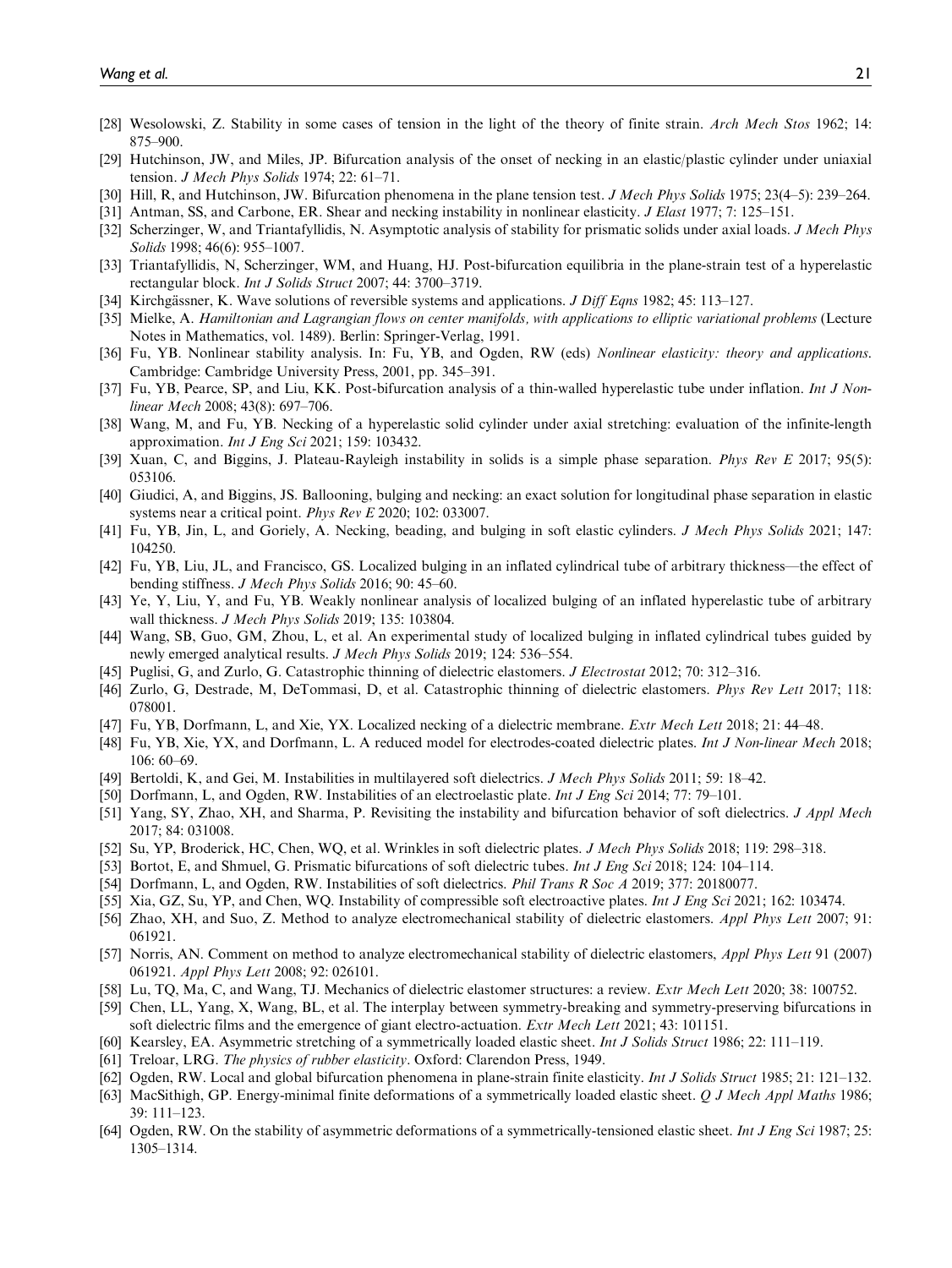- [28] Wesolowski, Z. Stability in some cases of tension in the light of the theory of finite strain. Arch Mech Stos 1962; 14: 875–900.
- [29] Hutchinson, JW, and Miles, JP. Bifurcation analysis of the onset of necking in an elastic/plastic cylinder under uniaxial tension. J Mech Phys Solids 1974; 22: 61–71.
- [30] Hill, R, and Hutchinson, JW. Bifurcation phenomena in the plane tension test. *J Mech Phys Solids* 1975; 23(4–5): 239–264.
- [31] Antman, SS, and Carbone, ER. Shear and necking instability in nonlinear elasticity. *J Elast* 1977; 7: 125–151.
- [32] Scherzinger, W, and Triantafyllidis, N. Asymptotic analysis of stability for prismatic solids under axial loads. J Mech Phys Solids 1998; 46(6): 955-1007.
- [33] Triantafyllidis, N, Scherzinger, WM, and Huang, HJ. Post-bifurcation equilibria in the plane-strain test of a hyperelastic rectangular block. Int J Solids Struct 2007; 44: 3700–3719.
- [34] Kirchgässner, K. Wave solutions of reversible systems and applications. *J Diff Eqns* 1982; 45: 113–127.
- [35] Mielke, A. Hamiltonian and Lagrangian flows on center manifolds, with applications to elliptic variational problems (Lecture Notes in Mathematics, vol. 1489). Berlin: Springer-Verlag, 1991.
- [36] Fu, YB. Nonlinear stability analysis. In: Fu, YB, and Ogden, RW (eds) Nonlinear elasticity: theory and applications. Cambridge: Cambridge University Press, 2001, pp. 345–391.
- [37] Fu, YB, Pearce, SP, and Liu, KK. Post-bifurcation analysis of a thin-walled hyperelastic tube under inflation. *Int J Non*linear Mech 2008; 43(8): 697–706.
- [38] Wang, M, and Fu, YB. Necking of a hyperelastic solid cylinder under axial stretching: evaluation of the infinite-length approximation. Int J Eng Sci 2021; 159: 103432.
- [39] Xuan, C, and Biggins, J. Plateau-Rayleigh instability in solids is a simple phase separation. Phys Rev E 2017; 95(5): 053106.
- [40] Giudici, A, and Biggins, JS. Ballooning, bulging and necking: an exact solution for longitudinal phase separation in elastic systems near a critical point. Phys Rev E 2020; 102: 033007.
- [41] Fu, YB, Jin, L, and Goriely, A. Necking, beading, and bulging in soft elastic cylinders. J Mech Phys Solids 2021; 147: 104250.
- [42] Fu, YB, Liu, JL, and Francisco, GS. Localized bulging in an inflated cylindrical tube of arbitrary thickness—the effect of bending stiffness. J Mech Phys Solids 2016; 90: 45–60.
- [43] Ye, Y, Liu, Y, and Fu, YB. Weakly nonlinear analysis of localized bulging of an inflated hyperelastic tube of arbitrary wall thickness. J Mech Phys Solids 2019; 135: 103804.
- [44] Wang, SB, Guo, GM, Zhou, L, et al. An experimental study of localized bulging in inflated cylindrical tubes guided by newly emerged analytical results. J Mech Phys Solids 2019; 124: 536–554.
- [45] Puglisi, G, and Zurlo, G. Catastrophic thinning of dielectric elastomers. J Electrostat 2012; 70: 312–316.
- [46] Zurlo, G, Destrade, M, DeTommasi, D, et al. Catastrophic thinning of dielectric elastomers. Phys Rev Lett 2017; 118: 078001.
- [47] Fu, YB, Dorfmann, L, and Xie, YX. Localized necking of a dielectric membrane. Extr Mech Lett 2018; 21: 44–48.
- [48] Fu, YB, Xie, YX, and Dorfmann, L. A reduced model for electrodes-coated dielectric plates. Int J Non-linear Mech 2018; 106: 60–69.
- [49] Bertoldi, K, and Gei, M. Instabilities in multilayered soft dielectrics. J Mech Phys Solids 2011; 59: 18–42.
- [50] Dorfmann, L, and Ogden, RW. Instabilities of an electroelastic plate. Int J Eng Sci 2014; 77: 79–101.
- [51] Yang, SY, Zhao, XH, and Sharma, P. Revisiting the instability and bifurcation behavior of soft dielectrics. J Appl Mech 2017; 84: 031008.
- [52] Su, YP, Broderick, HC, Chen, WQ, et al. Wrinkles in soft dielectric plates. J Mech Phys Solids 2018; 119: 298–318.
- [53] Bortot, E, and Shmuel, G. Prismatic bifurcations of soft dielectric tubes. Int J Eng Sci 2018; 124: 104–114.
- [54] Dorfmann, L, and Ogden, RW. Instabilities of soft dielectrics. *Phil Trans R Soc A* 2019; 377: 20180077.
- [55] Xia, GZ, Su, YP, and Chen, WQ. Instability of compressible soft electroactive plates. Int J Eng Sci 2021; 162: 103474.
- [56] Zhao, XH, and Suo, Z. Method to analyze electromechanical stability of dielectric elastomers. Appl Phys Lett 2007; 91: 061921.
- [57] Norris, AN. Comment on method to analyze electromechanical stability of dielectric elastomers, Appl Phys Lett 91 (2007) 061921. Appl Phys Lett 2008; 92: 026101.
- [58] Lu, TQ, Ma, C, and Wang, TJ. Mechanics of dielectric elastomer structures: a review. Extr Mech Lett 2020; 38: 100752.
- [59] Chen, LL, Yang, X, Wang, BL, et al. The interplay between symmetry-breaking and symmetry-preserving bifurcations in soft dielectric films and the emergence of giant electro-actuation. Extr Mech Lett 2021; 43: 101151.
- [60] Kearsley, EA. Asymmetric stretching of a symmetrically loaded elastic sheet. Int J Solids Struct 1986; 22: 111–119.
- [61] Treloar, LRG. The physics of rubber elasticity. Oxford: Clarendon Press, 1949.
- [62] Ogden, RW. Local and global bifurcation phenomena in plane-strain finite elasticity. Int J Solids Struct 1985; 21: 121–132.
- [63] MacSithigh, GP. Energy-minimal finite deformations of a symmetrically loaded elastic sheet. Q J Mech Appl Maths 1986; 39: 111–123.
- [64] Ogden, RW. On the stability of asymmetric deformations of a symmetrically-tensioned elastic sheet. Int J Eng Sci 1987; 25: 1305–1314.